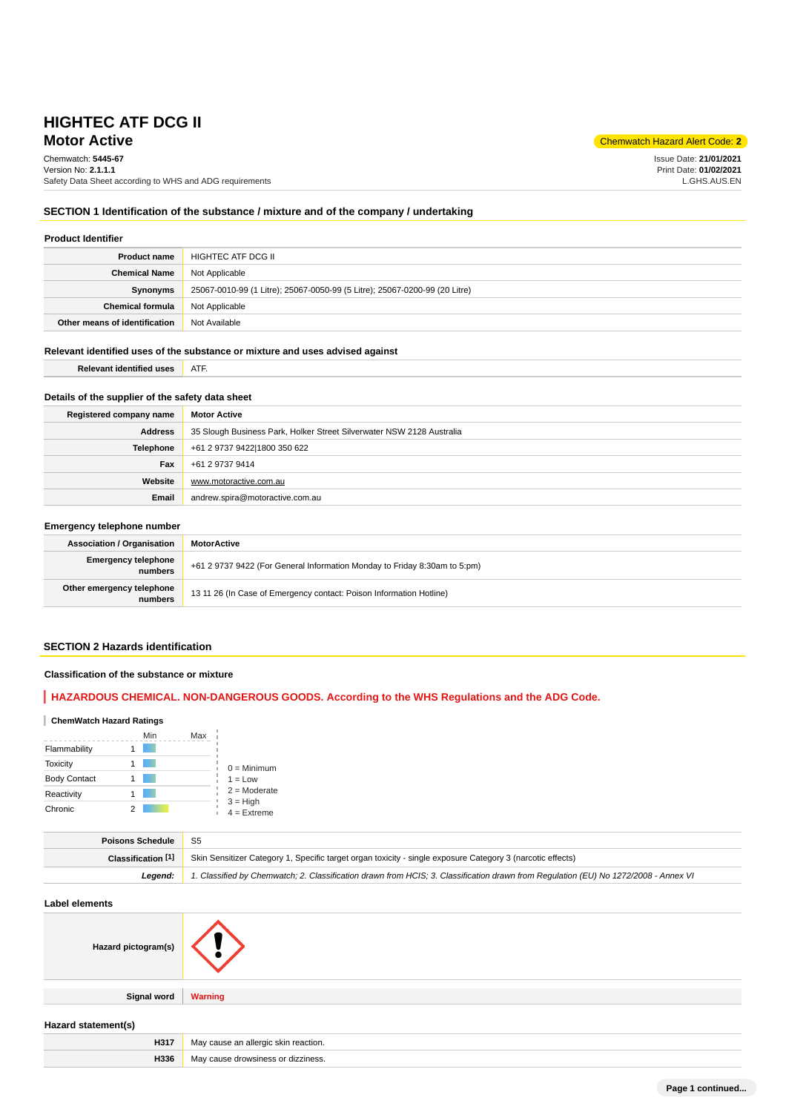# **Motor Active** Chemwatch Hazard Alert Code: 2<sup>2</sup> **HIGHTEC ATF DCG II**

Chemwatch: **5445-67**

Version No: **2.1.1.1** Safety Data Sheet according to WHS and ADG requirements

Issue Date: **21/01/2021** Print Date: **01/02/2021** L.GHS.AUS.EN

### **SECTION 1 Identification of the substance / mixture and of the company / undertaking**

### **Product Identifier**

| <b>Product name</b>           | HIGHTEC ATF DCG II                                                         |
|-------------------------------|----------------------------------------------------------------------------|
| <b>Chemical Name</b>          | Not Applicable                                                             |
| Synonyms                      | 25067-0010-99 (1 Litre); 25067-0050-99 (5 Litre); 25067-0200-99 (20 Litre) |
| <b>Chemical formula</b>       | Not Applicable                                                             |
| Other means of identification | Not Available                                                              |

### **Relevant identified uses of the substance or mixture and uses advised against**

**Relevant identified uses ATF.** 

# **Details of the supplier of the safety data sheet**

| Registered company name | <b>Motor Active</b>                                                   |
|-------------------------|-----------------------------------------------------------------------|
| <b>Address</b>          | 35 Slough Business Park, Holker Street Silverwater NSW 2128 Australia |
| <b>Telephone</b>        | +61 2 9737 9422 1800 350 622                                          |
| Fax                     | +61 2 9737 9414                                                       |
| Website                 | www.motoractive.com.au                                                |
| Email                   | andrew.spira@motoractive.com.au                                       |

### **Emergency telephone number**

| <b>Association / Organisation</b>     | <b>MotorActive</b>                                                        |  |
|---------------------------------------|---------------------------------------------------------------------------|--|
| <b>Emergency telephone</b><br>numbers | +61 2 9737 9422 (For General Information Monday to Friday 8:30am to 5:pm) |  |
| Other emergency telephone<br>numbers  | 13 11 26 (In Case of Emergency contact: Poison Information Hotline)       |  |

# **SECTION 2 Hazards identification**

### **Classification of the substance or mixture**

# **HAZARDOUS CHEMICAL. NON-DANGEROUS GOODS. According to the WHS Regulations and the ADG Code.**

### **ChemWatch Hazard Ratings**

|                     | Min | Max |                             |
|---------------------|-----|-----|-----------------------------|
| Flammability        |     |     |                             |
| <b>Toxicity</b>     |     |     | $0 =$ Minimum               |
| <b>Body Contact</b> |     |     | $1 = Low$                   |
| Reactivity          |     |     | $2 =$ Moderate              |
| Chronic             |     |     | $3 = High$<br>$4 =$ Extreme |

| Poisons Schedule   | <b>S5</b>                                                                                                                           |
|--------------------|-------------------------------------------------------------------------------------------------------------------------------------|
| Classification [1] | Skin Sensitizer Category 1, Specific target organ toxicity - single exposure Category 3 (narcotic effects)                          |
| Leaend:            | 1. Classified by Chemwatch; 2. Classification drawn from HCIS; 3. Classification drawn from Regulation (EU) No 1272/2008 - Annex VI |

#### **Label elements**

| Hazard pictogram(s) |                                      |
|---------------------|--------------------------------------|
|                     |                                      |
| <b>Signal word</b>  | <b>Warning</b>                       |
|                     |                                      |
| Hazard statement(s) |                                      |
| H317                | May cause an allergic skin reaction. |
| H336                | May cause drowsiness or dizziness.   |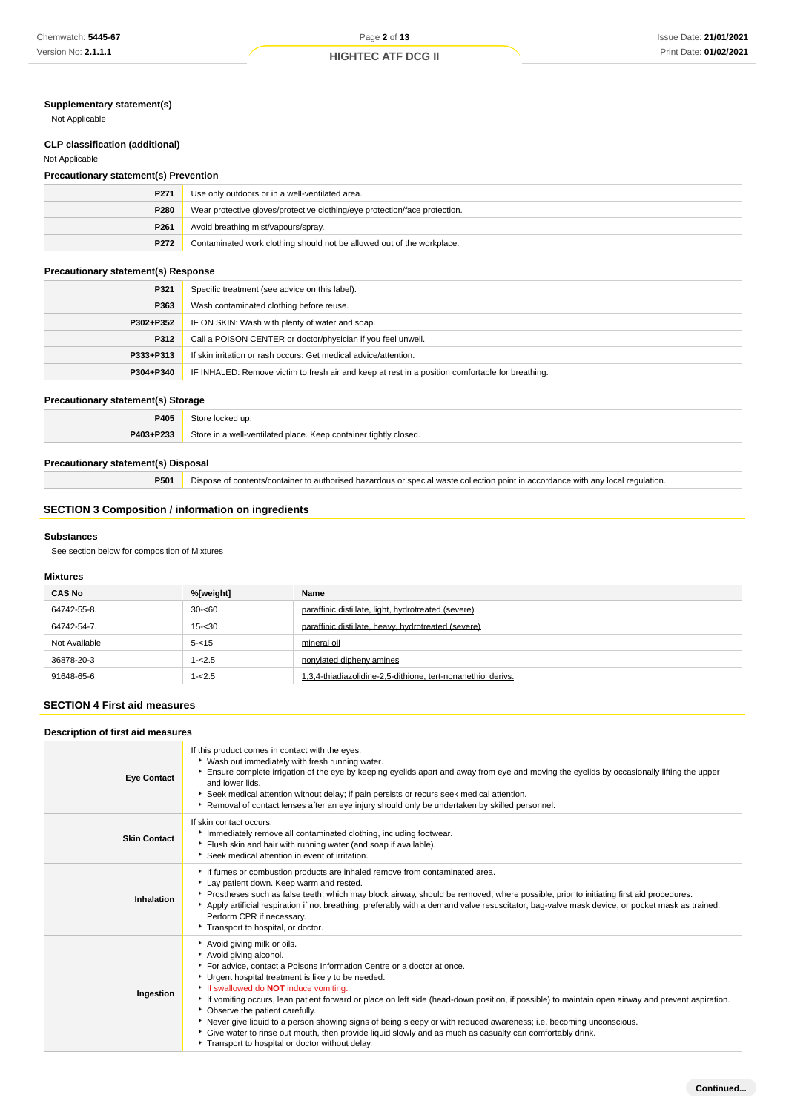# **Supplementary statement(s)**

Not Applicable

# **CLP classification (additional)**

### Not Applicable

# **Precautionary statement(s) Prevention**

| P271             | Use only outdoors or in a well-ventilated area.                            |
|------------------|----------------------------------------------------------------------------|
| P280             | Wear protective gloves/protective clothing/eye protection/face protection. |
| P <sub>261</sub> | Avoid breathing mist/vapours/spray.                                        |
| P272             | Contaminated work clothing should not be allowed out of the workplace.     |

# **Precautionary statement(s) Response**

| P321      | Specific treatment (see advice on this label).                                                   |
|-----------|--------------------------------------------------------------------------------------------------|
| P363      | Wash contaminated clothing before reuse.                                                         |
| P302+P352 | IF ON SKIN: Wash with plenty of water and soap.                                                  |
| P312      | Call a POISON CENTER or doctor/physician if you feel unwell.                                     |
| P333+P313 | If skin irritation or rash occurs: Get medical advice/attention.                                 |
| P304+P340 | IF INHALED: Remove victim to fresh air and keep at rest in a position comfortable for breathing. |

### **Precautionary statement(s) Storage**

| P405      | ocked up.                                                        |
|-----------|------------------------------------------------------------------|
| P403+P233 | Store in a well-ventilated place. Keep container tightly closed. |

### **Precautionary statement(s) Disposal**

**P501** Dispose of contents/container to authorised hazardous or special waste collection point in accordance with any local regulation.

# **SECTION 3 Composition / information on ingredients**

#### **Substances**

See section below for composition of Mixtures

# **Mixtures**

| <b>CAS No</b> | %[weight] | Name                                                         |
|---------------|-----------|--------------------------------------------------------------|
| 64742-55-8.   | $30 - 60$ | paraffinic distillate, light, hydrotreated (severe)          |
| 64742-54-7.   | $15 - 30$ | paraffinic distillate, heavy, hydrotreated (severe)          |
| Not Available | $5 - 15$  | mineral oil                                                  |
| 36878-20-3    | $1 - 2.5$ | nonvlated diphenvlamines                                     |
| 91648-65-6    | $1 - 2.5$ | 1,3,4-thiadiazolidine-2,5-dithione, tert-nonanethiol derivs. |

# **SECTION 4 First aid measures**

# **Description of first aid measures**

| <b>Eye Contact</b>  | If this product comes in contact with the eyes:<br>• Wash out immediately with fresh running water.<br>Ensure complete irrigation of the eye by keeping eyelids apart and away from eye and moving the eyelids by occasionally lifting the upper<br>and lower lids.<br>Seek medical attention without delay; if pain persists or recurs seek medical attention.<br>Removal of contact lenses after an eye injury should only be undertaken by skilled personnel.                                                                                                                                                                                                                                              |
|---------------------|---------------------------------------------------------------------------------------------------------------------------------------------------------------------------------------------------------------------------------------------------------------------------------------------------------------------------------------------------------------------------------------------------------------------------------------------------------------------------------------------------------------------------------------------------------------------------------------------------------------------------------------------------------------------------------------------------------------|
| <b>Skin Contact</b> | If skin contact occurs:<br>Immediately remove all contaminated clothing, including footwear.<br>Flush skin and hair with running water (and soap if available).<br>Seek medical attention in event of irritation.                                                                                                                                                                                                                                                                                                                                                                                                                                                                                             |
| Inhalation          | If fumes or combustion products are inhaled remove from contaminated area.<br>Lay patient down. Keep warm and rested.<br>Prostheses such as false teeth, which may block airway, should be removed, where possible, prior to initiating first aid procedures.<br>Apply artificial respiration if not breathing, preferably with a demand valve resuscitator, bag-valve mask device, or pocket mask as trained.<br>Perform CPR if necessary.<br>Transport to hospital, or doctor.                                                                                                                                                                                                                              |
| Ingestion           | Avoid giving milk or oils.<br>Avoid giving alcohol.<br>For advice, contact a Poisons Information Centre or a doctor at once.<br>Urgent hospital treatment is likely to be needed.<br>If swallowed do <b>NOT</b> induce vomiting.<br>If vomiting occurs, lean patient forward or place on left side (head-down position, if possible) to maintain open airway and prevent aspiration.<br>• Observe the patient carefully.<br>▶ Never give liquid to a person showing signs of being sleepy or with reduced awareness; i.e. becoming unconscious.<br>Give water to rinse out mouth, then provide liquid slowly and as much as casualty can comfortably drink.<br>Transport to hospital or doctor without delay. |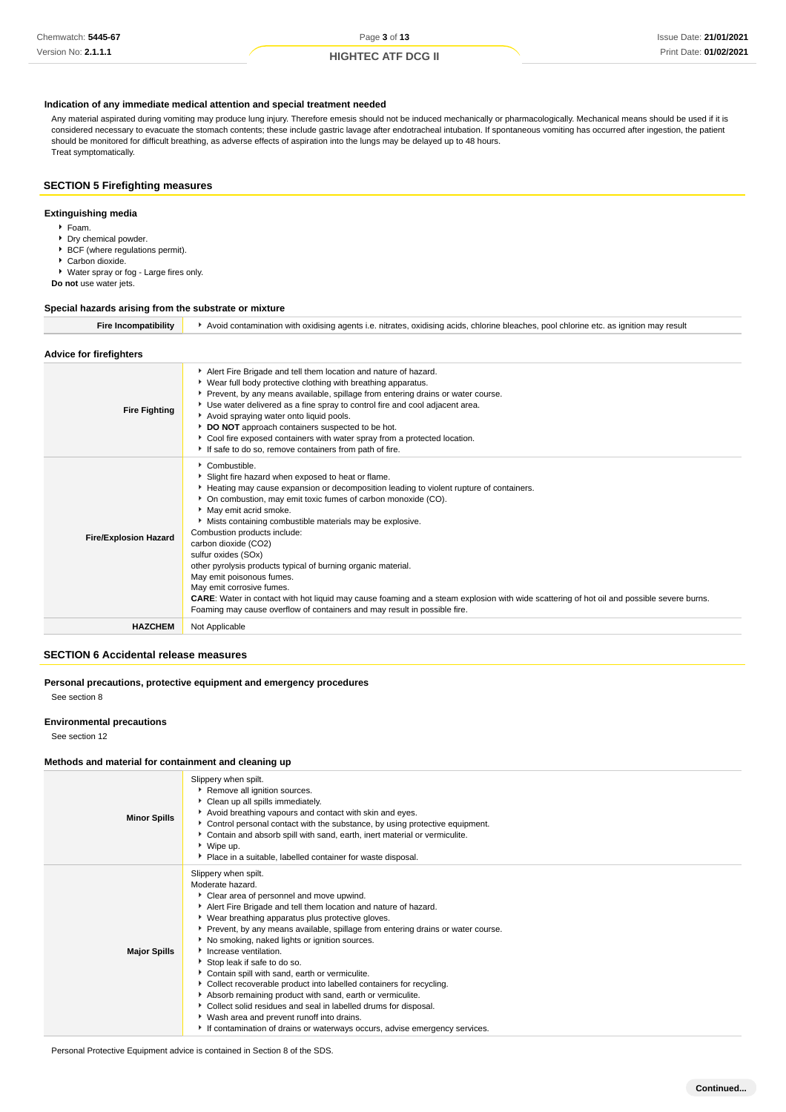### **Indication of any immediate medical attention and special treatment needed**

Any material aspirated during vomiting may produce lung injury. Therefore emesis should not be induced mechanically or pharmacologically. Mechanical means should be used if it is considered necessary to evacuate the stomach contents; these include gastric lavage after endotracheal intubation. If spontaneous vomiting has occurred after ingestion, the patient should be monitored for difficult breathing, as adverse effects of aspiration into the lungs may be delayed up to 48 hours. Treat symptomatically.

### **SECTION 5 Firefighting measures**

### **Extinguishing media**

- Foam.
- **Dry chemical powder. BCF** (where regulations permit).
- Carbon dioxide.
- Water spray or fog Large fires only.

**Do not** use water jets.

#### **Special hazards arising from the substrate or mixture**

**Fire Incompatibility**  $\longrightarrow$  Avoid contamination with oxidising agents i.e. nitrates, oxidising acids, chlorine bleaches, pool chlorine etc. as ignition may result

### **Advice for firefighters**

| <b>Fire Fighting</b>         | Alert Fire Brigade and tell them location and nature of hazard.<br>• Wear full body protective clothing with breathing apparatus.<br>Prevent, by any means available, spillage from entering drains or water course.<br>• Use water delivered as a fine spray to control fire and cool adjacent area.<br>Avoid spraying water onto liquid pools.<br>DO NOT approach containers suspected to be hot.<br>• Cool fire exposed containers with water spray from a protected location.<br>If safe to do so, remove containers from path of fire.                                                                                                                                                                                                                                  |
|------------------------------|------------------------------------------------------------------------------------------------------------------------------------------------------------------------------------------------------------------------------------------------------------------------------------------------------------------------------------------------------------------------------------------------------------------------------------------------------------------------------------------------------------------------------------------------------------------------------------------------------------------------------------------------------------------------------------------------------------------------------------------------------------------------------|
| <b>Fire/Explosion Hazard</b> | $\blacktriangleright$ Combustible.<br>Slight fire hazard when exposed to heat or flame.<br>Heating may cause expansion or decomposition leading to violent rupture of containers.<br>• On combustion, may emit toxic fumes of carbon monoxide (CO).<br>May emit acrid smoke.<br>Mists containing combustible materials may be explosive.<br>Combustion products include:<br>carbon dioxide (CO2)<br>sulfur oxides (SOx)<br>other pyrolysis products typical of burning organic material.<br>May emit poisonous fumes.<br>May emit corrosive fumes.<br>CARE: Water in contact with hot liquid may cause foaming and a steam explosion with wide scattering of hot oil and possible severe burns.<br>Foaming may cause overflow of containers and may result in possible fire. |
| <b>HAZCHEM</b>               | Not Applicable                                                                                                                                                                                                                                                                                                                                                                                                                                                                                                                                                                                                                                                                                                                                                               |

### **SECTION 6 Accidental release measures**

# **Personal precautions, protective equipment and emergency procedures**

See section 8

#### **Environmental precautions**

See section 12

### **Methods and material for containment and cleaning up**

| <b>Minor Spills</b> | Slippery when spilt.<br>Remove all ignition sources.<br>Clean up all spills immediately.<br>Avoid breathing vapours and contact with skin and eyes.<br>▶ Control personal contact with the substance, by using protective equipment.<br>Contain and absorb spill with sand, earth, inert material or vermiculite.<br>▶ Wipe up.<br>Place in a suitable, labelled container for waste disposal.                                                                                                                                                                                                                                                                                                                                                                                                        |
|---------------------|-------------------------------------------------------------------------------------------------------------------------------------------------------------------------------------------------------------------------------------------------------------------------------------------------------------------------------------------------------------------------------------------------------------------------------------------------------------------------------------------------------------------------------------------------------------------------------------------------------------------------------------------------------------------------------------------------------------------------------------------------------------------------------------------------------|
| <b>Major Spills</b> | Slippery when spilt.<br>Moderate hazard.<br>• Clear area of personnel and move upwind.<br>Alert Fire Brigade and tell them location and nature of hazard.<br>▶ Wear breathing apparatus plus protective gloves.<br>▶ Prevent, by any means available, spillage from entering drains or water course.<br>No smoking, naked lights or ignition sources.<br>Increase ventilation.<br>Stop leak if safe to do so.<br>Contain spill with sand, earth or vermiculite.<br>• Collect recoverable product into labelled containers for recycling.<br>Absorb remaining product with sand, earth or vermiculite.<br>Collect solid residues and seal in labelled drums for disposal.<br>▶ Wash area and prevent runoff into drains.<br>If contamination of drains or waterways occurs, advise emergency services. |

Personal Protective Equipment advice is contained in Section 8 of the SDS.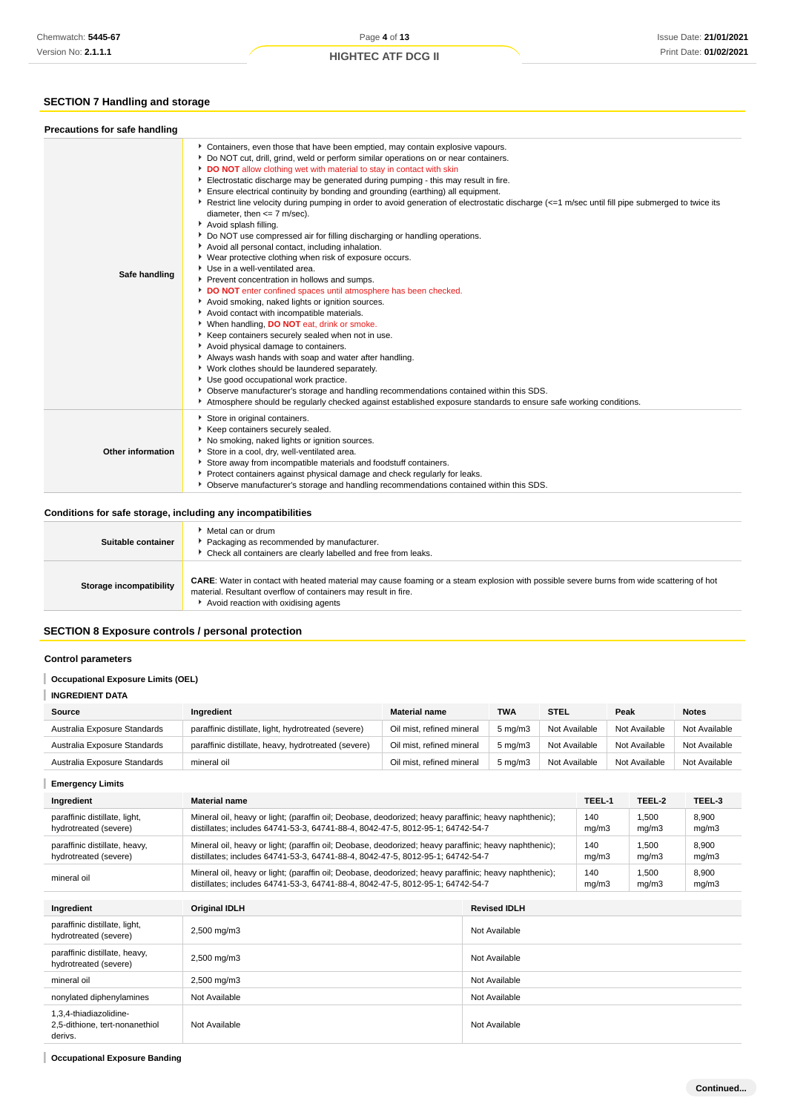# **SECTION 7 Handling and storage**

| Safe handling     | Containers, even those that have been emptied, may contain explosive vapours.<br>Do NOT cut, drill, grind, weld or perform similar operations on or near containers.<br>DO NOT allow clothing wet with material to stay in contact with skin<br>Electrostatic discharge may be generated during pumping - this may result in fire.<br>Ensure electrical continuity by bonding and grounding (earthing) all equipment.<br>Restrict line velocity during pumping in order to avoid generation of electrostatic discharge (<=1 m/sec until fill pipe submerged to twice its<br>diameter, then $<= 7$ m/sec).<br>Avoid splash filling.<br>▶ Do NOT use compressed air for filling discharging or handling operations.<br>Avoid all personal contact, including inhalation.<br>▶ Wear protective clothing when risk of exposure occurs.<br>Use in a well-ventilated area.<br>Prevent concentration in hollows and sumps.<br>DO NOT enter confined spaces until atmosphere has been checked.<br>Avoid smoking, naked lights or ignition sources.<br>Avoid contact with incompatible materials.<br>▶ When handling, DO NOT eat, drink or smoke.<br>Keep containers securely sealed when not in use.<br>Avoid physical damage to containers.<br>Always wash hands with soap and water after handling.<br>V Work clothes should be laundered separately.<br>Use good occupational work practice.<br>> Observe manufacturer's storage and handling recommendations contained within this SDS.<br>Atmosphere should be regularly checked against established exposure standards to ensure safe working conditions. |
|-------------------|---------------------------------------------------------------------------------------------------------------------------------------------------------------------------------------------------------------------------------------------------------------------------------------------------------------------------------------------------------------------------------------------------------------------------------------------------------------------------------------------------------------------------------------------------------------------------------------------------------------------------------------------------------------------------------------------------------------------------------------------------------------------------------------------------------------------------------------------------------------------------------------------------------------------------------------------------------------------------------------------------------------------------------------------------------------------------------------------------------------------------------------------------------------------------------------------------------------------------------------------------------------------------------------------------------------------------------------------------------------------------------------------------------------------------------------------------------------------------------------------------------------------------------------------------------------------------------------------------------|
| Other information | Store in original containers.<br>Keep containers securely sealed.<br>No smoking, naked lights or ignition sources.<br>Store in a cool, dry, well-ventilated area.<br>Store away from incompatible materials and foodstuff containers.<br>Protect containers against physical damage and check regularly for leaks.<br>• Observe manufacturer's storage and handling recommendations contained within this SDS.                                                                                                                                                                                                                                                                                                                                                                                                                                                                                                                                                                                                                                                                                                                                                                                                                                                                                                                                                                                                                                                                                                                                                                                          |

| Suitable container      | ▶ Metal can or drum<br>Packaging as recommended by manufacturer.<br>* Check all containers are clearly labelled and free from leaks.                                                                                                                       |
|-------------------------|------------------------------------------------------------------------------------------------------------------------------------------------------------------------------------------------------------------------------------------------------------|
| Storage incompatibility | <b>CARE:</b> Water in contact with heated material may cause foaming or a steam explosion with possible severe burns from wide scattering of hot<br>material. Resultant overflow of containers may result in fire.<br>Avoid reaction with oxidising agents |

### **SECTION 8 Exposure controls / personal protection**

#### **Control parameters**

#### **Occupational Exposure Limits (OEL)** I

**INGREDIENT DATA**

| Source                       | Ingredient                                          | <b>Material name</b>      | <b>TWA</b>         | <b>STEL</b>   | Peak          | <b>Notes</b>  |
|------------------------------|-----------------------------------------------------|---------------------------|--------------------|---------------|---------------|---------------|
| Australia Exposure Standards | paraffinic distillate, light, hydrotreated (severe) | Oil mist, refined mineral | $5 \text{ ma/m}$ 3 | Not Available | Not Available | Not Available |
| Australia Exposure Standards | paraffinic distillate, heavy, hydrotreated (severe) | Oil mist, refined mineral | $5 \text{ ma/m}$ 3 | Not Available | Not Available | Not Available |
| Australia Exposure Standards | mineral oil                                         | Oil mist, refined mineral | $5 \text{ ma/m}$ 3 | Not Available | Not Available | Not Available |

I **Emergency Limits Ingredient Material name TEEL-1 TEEL-2 TEEL-3** paraffinic distillate, light, Mineral oil, heavy or light; (paraffin oil; Deobase, deodorized; heavy paraffinic; heavy naphthenic); 140 1,500 8,900 hydrotreated (severe) distillates; includes 64741-53-3, 64741-88-4, 8042-47-5, 8012-95-1; 64742-54-7 mg/m3 mg/m3 mg/m3 paraffinic distillate, heavy, 1,500 Mineral oil, heavy or light; (paraffin oil; Deobase, deodorized; heavy paraffinic; heavy naphthenic); 140 8,900 hydrotreated (severe) distillates; includes 64741-53-3, 64741-88-4, 8042-47-5, 8012-95-1; 64742-54-7 mg/m3 mg/m3 mg/m3 mineral oil<br>
Mineral oil Mineral oil, heavy or light; (paraffin oil; Deobase, deodorized; heavy paraffinic; heavy naphthenic);<br>
distillates includes 04744.50,0,04744.90,4,0040,475,0040,054;04740,54.7 140 1,500 8,900 distillates; includes 64741-53-3, 64741-88-4, 8042-47-5, 8012-95-1; 64742-54-7 mg/m3 mg/m3 mg/m3 **Ingredient Original IDLH Revised IDLH** paraffinic distillate, light, paraffinic distillate, light, <br>hydrotreated (severe) 2,500 mg/m3 Not Available paraffinic distillate, heavy, paraminic distillate, heavy,<br>hydrotreated (severe) 2,500 mg/m3 Not Available mineral oil and the community of the community of the community of the community of the community of the community of the community of the community of the community of the community of the community of the community of th nonylated diphenylamines Not Available Not Available Not Available Not Available 1,3,4-thiadiazolidine-2,5-dithione, tert-nonanethiol Not Available Not Available derivs.

**Occupational Exposure Banding**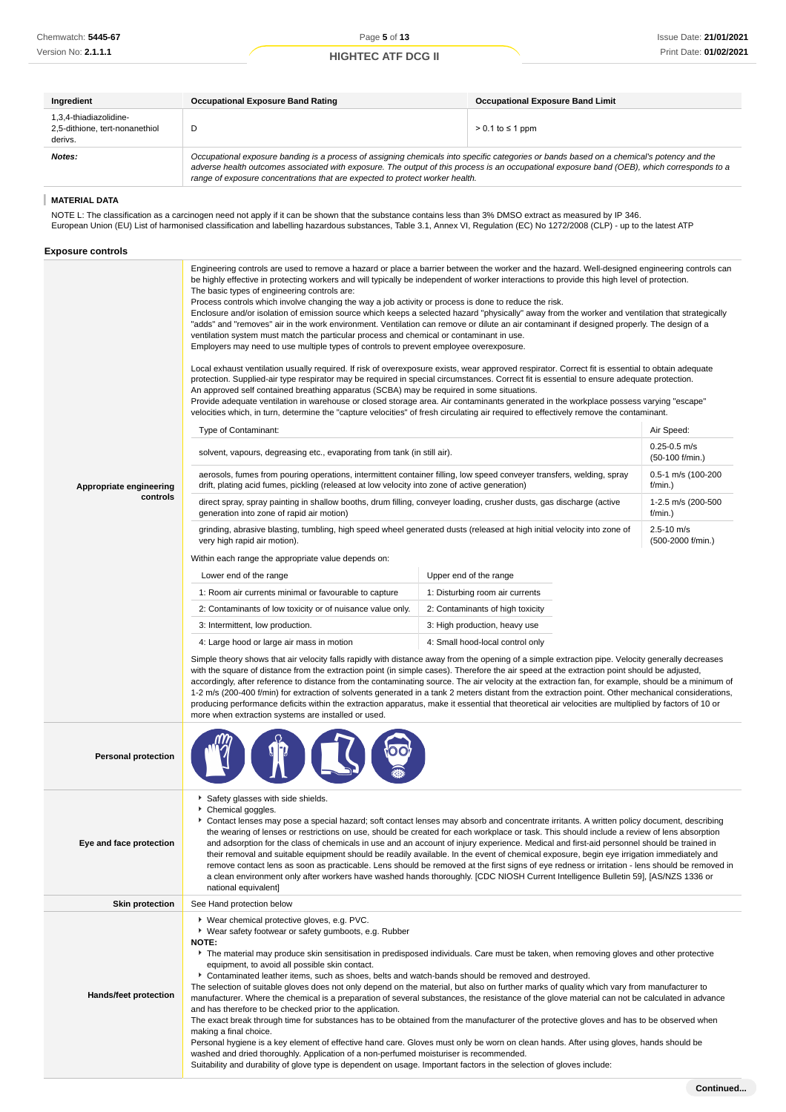| Ingredient                                                          | <b>Occupational Exposure Band Rating</b>                                                                                                                                                                                                                                                                                                                                                                                                                                                                                                                                                                                                                                                                                                                                                                                                                                                                                                                                                                                                                                                                                                                                                                                                                                                                                                                                                                                                                                                  | <b>Occupational Exposure Band Limit</b>                                                                                                                                                                                                                                                                                                                                                                                                |                                     |  |
|---------------------------------------------------------------------|-------------------------------------------------------------------------------------------------------------------------------------------------------------------------------------------------------------------------------------------------------------------------------------------------------------------------------------------------------------------------------------------------------------------------------------------------------------------------------------------------------------------------------------------------------------------------------------------------------------------------------------------------------------------------------------------------------------------------------------------------------------------------------------------------------------------------------------------------------------------------------------------------------------------------------------------------------------------------------------------------------------------------------------------------------------------------------------------------------------------------------------------------------------------------------------------------------------------------------------------------------------------------------------------------------------------------------------------------------------------------------------------------------------------------------------------------------------------------------------------|----------------------------------------------------------------------------------------------------------------------------------------------------------------------------------------------------------------------------------------------------------------------------------------------------------------------------------------------------------------------------------------------------------------------------------------|-------------------------------------|--|
| 1,3,4-thiadiazolidine-<br>2,5-dithione, tert-nonanethiol<br>derivs. | D                                                                                                                                                                                                                                                                                                                                                                                                                                                                                                                                                                                                                                                                                                                                                                                                                                                                                                                                                                                                                                                                                                                                                                                                                                                                                                                                                                                                                                                                                         | $> 0.1$ to $\leq 1$ ppm                                                                                                                                                                                                                                                                                                                                                                                                                |                                     |  |
| Notes:                                                              |                                                                                                                                                                                                                                                                                                                                                                                                                                                                                                                                                                                                                                                                                                                                                                                                                                                                                                                                                                                                                                                                                                                                                                                                                                                                                                                                                                                                                                                                                           | Occupational exposure banding is a process of assigning chemicals into specific categories or bands based on a chemical's potency and the<br>adverse health outcomes associated with exposure. The output of this process is an occupational exposure band (OEB), which corresponds to a<br>range of exposure concentrations that are expected to protect worker health.                                                               |                                     |  |
| <b>MATERIAL DATA</b>                                                |                                                                                                                                                                                                                                                                                                                                                                                                                                                                                                                                                                                                                                                                                                                                                                                                                                                                                                                                                                                                                                                                                                                                                                                                                                                                                                                                                                                                                                                                                           |                                                                                                                                                                                                                                                                                                                                                                                                                                        |                                     |  |
| <b>Exposure controls</b>                                            | NOTE L: The classification as a carcinogen need not apply if it can be shown that the substance contains less than 3% DMSO extract as measured by IP 346.<br>European Union (EU) List of harmonised classification and labelling hazardous substances, Table 3.1, Annex VI, Regulation (EC) No 1272/2008 (CLP) - up to the latest ATP                                                                                                                                                                                                                                                                                                                                                                                                                                                                                                                                                                                                                                                                                                                                                                                                                                                                                                                                                                                                                                                                                                                                                     |                                                                                                                                                                                                                                                                                                                                                                                                                                        |                                     |  |
|                                                                     | Engineering controls are used to remove a hazard or place a barrier between the worker and the hazard. Well-designed engineering controls can<br>be highly effective in protecting workers and will typically be independent of worker interactions to provide this high level of protection.<br>The basic types of engineering controls are:<br>Process controls which involve changing the way a job activity or process is done to reduce the risk.<br>Enclosure and/or isolation of emission source which keeps a selected hazard "physically" away from the worker and ventilation that strategically<br>"adds" and "removes" air in the work environment. Ventilation can remove or dilute an air contaminant if designed properly. The design of a<br>ventilation system must match the particular process and chemical or contaminant in use.<br>Employers may need to use multiple types of controls to prevent employee overexposure.<br>Local exhaust ventilation usually required. If risk of overexposure exists, wear approved respirator. Correct fit is essential to obtain adequate<br>protection. Supplied-air type respirator may be required in special circumstances. Correct fit is essential to ensure adequate protection.<br>An approved self contained breathing apparatus (SCBA) may be required in some situations.<br>Provide adequate ventilation in warehouse or closed storage area. Air contaminants generated in the workplace possess varying "escape" |                                                                                                                                                                                                                                                                                                                                                                                                                                        |                                     |  |
|                                                                     | velocities which, in turn, determine the "capture velocities" of fresh circulating air required to effectively remove the contaminant.                                                                                                                                                                                                                                                                                                                                                                                                                                                                                                                                                                                                                                                                                                                                                                                                                                                                                                                                                                                                                                                                                                                                                                                                                                                                                                                                                    |                                                                                                                                                                                                                                                                                                                                                                                                                                        |                                     |  |
|                                                                     | Type of Contaminant:                                                                                                                                                                                                                                                                                                                                                                                                                                                                                                                                                                                                                                                                                                                                                                                                                                                                                                                                                                                                                                                                                                                                                                                                                                                                                                                                                                                                                                                                      |                                                                                                                                                                                                                                                                                                                                                                                                                                        | Air Speed:<br>$0.25 - 0.5$ m/s      |  |
|                                                                     | solvent, vapours, degreasing etc., evaporating from tank (in still air).                                                                                                                                                                                                                                                                                                                                                                                                                                                                                                                                                                                                                                                                                                                                                                                                                                                                                                                                                                                                                                                                                                                                                                                                                                                                                                                                                                                                                  |                                                                                                                                                                                                                                                                                                                                                                                                                                        | (50-100 f/min.)                     |  |
| Appropriate engineering                                             | aerosols, fumes from pouring operations, intermittent container filling, low speed conveyer transfers, welding, spray<br>drift, plating acid fumes, pickling (released at low velocity into zone of active generation)                                                                                                                                                                                                                                                                                                                                                                                                                                                                                                                                                                                                                                                                                                                                                                                                                                                                                                                                                                                                                                                                                                                                                                                                                                                                    |                                                                                                                                                                                                                                                                                                                                                                                                                                        | 0.5-1 m/s (100-200<br>f/min.)       |  |
| controls                                                            | direct spray, spray painting in shallow booths, drum filling, conveyer loading, crusher dusts, gas discharge (active<br>generation into zone of rapid air motion)                                                                                                                                                                                                                                                                                                                                                                                                                                                                                                                                                                                                                                                                                                                                                                                                                                                                                                                                                                                                                                                                                                                                                                                                                                                                                                                         |                                                                                                                                                                                                                                                                                                                                                                                                                                        | 1-2.5 m/s (200-500<br>f/min.)       |  |
|                                                                     | grinding, abrasive blasting, tumbling, high speed wheel generated dusts (released at high initial velocity into zone of<br>very high rapid air motion).                                                                                                                                                                                                                                                                                                                                                                                                                                                                                                                                                                                                                                                                                                                                                                                                                                                                                                                                                                                                                                                                                                                                                                                                                                                                                                                                   |                                                                                                                                                                                                                                                                                                                                                                                                                                        | $2.5 - 10$ m/s<br>(500-2000 f/min.) |  |
|                                                                     | Within each range the appropriate value depends on:                                                                                                                                                                                                                                                                                                                                                                                                                                                                                                                                                                                                                                                                                                                                                                                                                                                                                                                                                                                                                                                                                                                                                                                                                                                                                                                                                                                                                                       |                                                                                                                                                                                                                                                                                                                                                                                                                                        |                                     |  |
|                                                                     | Lower end of the range                                                                                                                                                                                                                                                                                                                                                                                                                                                                                                                                                                                                                                                                                                                                                                                                                                                                                                                                                                                                                                                                                                                                                                                                                                                                                                                                                                                                                                                                    | Upper end of the range                                                                                                                                                                                                                                                                                                                                                                                                                 |                                     |  |
|                                                                     | 1: Room air currents minimal or favourable to capture                                                                                                                                                                                                                                                                                                                                                                                                                                                                                                                                                                                                                                                                                                                                                                                                                                                                                                                                                                                                                                                                                                                                                                                                                                                                                                                                                                                                                                     | 1: Disturbing room air currents                                                                                                                                                                                                                                                                                                                                                                                                        |                                     |  |
|                                                                     | 2: Contaminants of low toxicity or of nuisance value only.                                                                                                                                                                                                                                                                                                                                                                                                                                                                                                                                                                                                                                                                                                                                                                                                                                                                                                                                                                                                                                                                                                                                                                                                                                                                                                                                                                                                                                | 2: Contaminants of high toxicity                                                                                                                                                                                                                                                                                                                                                                                                       |                                     |  |
|                                                                     | 3: Intermittent, low production.                                                                                                                                                                                                                                                                                                                                                                                                                                                                                                                                                                                                                                                                                                                                                                                                                                                                                                                                                                                                                                                                                                                                                                                                                                                                                                                                                                                                                                                          | 3: High production, heavy use                                                                                                                                                                                                                                                                                                                                                                                                          |                                     |  |
|                                                                     | 4: Large hood or large air mass in motion                                                                                                                                                                                                                                                                                                                                                                                                                                                                                                                                                                                                                                                                                                                                                                                                                                                                                                                                                                                                                                                                                                                                                                                                                                                                                                                                                                                                                                                 | 4: Small hood-local control only                                                                                                                                                                                                                                                                                                                                                                                                       |                                     |  |
|                                                                     | Simple theory shows that air velocity falls rapidly with distance away from the opening of a simple extraction pipe. Velocity generally decreases<br>with the square of distance from the extraction point (in simple cases). Therefore the air speed at the extraction point should be adjusted,<br>accordingly, after reference to distance from the contaminating source. The air velocity at the extraction fan, for example, should be a minimum of<br>1-2 m/s (200-400 f/min) for extraction of solvents generated in a tank 2 meters distant from the extraction point. Other mechanical considerations,<br>producing performance deficits within the extraction apparatus, make it essential that theoretical air velocities are multiplied by factors of 10 or<br>more when extraction systems are installed or used.                                                                                                                                                                                                                                                                                                                                                                                                                                                                                                                                                                                                                                                            |                                                                                                                                                                                                                                                                                                                                                                                                                                        |                                     |  |
| <b>Personal protection</b>                                          |                                                                                                                                                                                                                                                                                                                                                                                                                                                                                                                                                                                                                                                                                                                                                                                                                                                                                                                                                                                                                                                                                                                                                                                                                                                                                                                                                                                                                                                                                           |                                                                                                                                                                                                                                                                                                                                                                                                                                        |                                     |  |
| Eye and face protection                                             | Safety glasses with side shields.<br>Chemical goggles.<br>Contact lenses may pose a special hazard; soft contact lenses may absorb and concentrate irritants. A written policy document, describing                                                                                                                                                                                                                                                                                                                                                                                                                                                                                                                                                                                                                                                                                                                                                                                                                                                                                                                                                                                                                                                                                                                                                                                                                                                                                       | the wearing of lenses or restrictions on use, should be created for each workplace or task. This should include a review of lens absorption<br>and adsorption for the class of chemicals in use and an account of injury experience. Medical and first-aid personnel should be trained in<br>their removal and suitable equipment should be readily available. In the event of chemical exposure, begin eye irrigation immediately and |                                     |  |

remove contact lens as soon as practicable. Lens should be removed at the first signs of eye redness or irritation - lens should be removed in a clean environment only after workers have washed hands thoroughly. [CDC NIOSH Current Intelligence Bulletin 59], [AS/NZS 1336 or

national equivalent] **Skin protection** See Hand protection below **Hands/feet protection** Wear chemical protective gloves, e.g. PVC. ► Wear safety footwear or safety gumboots, e.g. Rubber **NOTE:** The material may produce skin sensitisation in predisposed individuals. Care must be taken, when removing gloves and other protective equipment, to avoid all possible skin contact. Contaminated leather items, such as shoes, belts and watch-bands should be removed and destroyed. The selection of suitable gloves does not only depend on the material, but also on further marks of quality which vary from manufacturer to manufacturer. Where the chemical is a preparation of several substances, the resistance of the glove material can not be calculated in advance and has therefore to be checked prior to the application. The exact break through time for substances has to be obtained from the manufacturer of the protective gloves and has to be observed when making a final choice. Personal hygiene is a key element of effective hand care. Gloves must only be worn on clean hands. After using gloves, hands should be washed and dried thoroughly. Application of a non-perfumed moisturiser is recommended. Suitability and durability of glove type is dependent on usage. Important factors in the selection of gloves include:

**Continued...**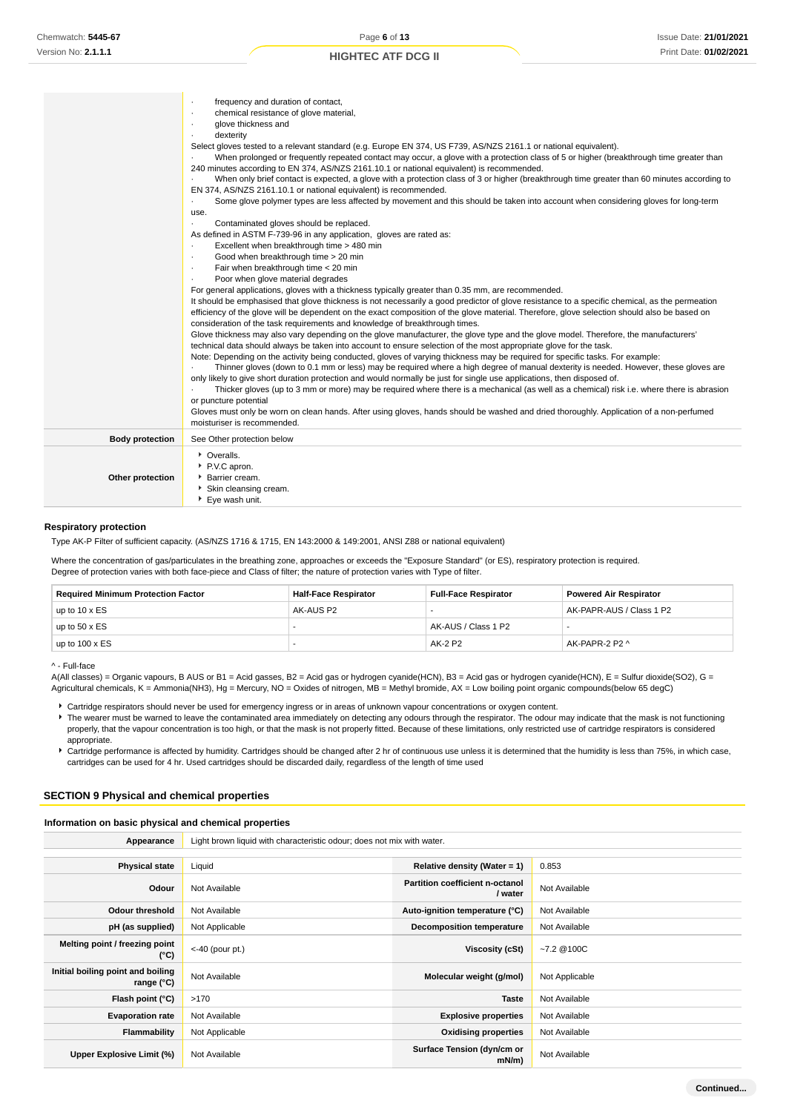|                        | frequency and duration of contact,                                                                                                             |
|------------------------|------------------------------------------------------------------------------------------------------------------------------------------------|
|                        | chemical resistance of glove material,                                                                                                         |
|                        | glove thickness and                                                                                                                            |
|                        | dexterity                                                                                                                                      |
|                        | Select gloves tested to a relevant standard (e.g. Europe EN 374, US F739, AS/NZS 2161.1 or national equivalent).                               |
|                        | When prolonged or frequently repeated contact may occur, a glove with a protection class of 5 or higher (breakthrough time greater than        |
|                        | 240 minutes according to EN 374, AS/NZS 2161.10.1 or national equivalent) is recommended.                                                      |
|                        | When only brief contact is expected, a glove with a protection class of 3 or higher (breakthrough time greater than 60 minutes according to    |
|                        | EN 374, AS/NZS 2161.10.1 or national equivalent) is recommended.                                                                               |
|                        | Some glove polymer types are less affected by movement and this should be taken into account when considering gloves for long-term<br>$\cdot$  |
|                        | use.                                                                                                                                           |
|                        | Contaminated gloves should be replaced.<br>$\cdot$                                                                                             |
|                        | As defined in ASTM F-739-96 in any application, gloves are rated as:                                                                           |
|                        | Excellent when breakthrough time > 480 min<br>$\cdot$                                                                                          |
|                        | Good when breakthrough time > 20 min<br>$\cdot$                                                                                                |
|                        | Fair when breakthrough time < 20 min<br>$\cdot$                                                                                                |
|                        | Poor when glove material degrades                                                                                                              |
|                        | For general applications, gloves with a thickness typically greater than 0.35 mm, are recommended.                                             |
|                        | It should be emphasised that glove thickness is not necessarily a good predictor of glove resistance to a specific chemical, as the permeation |
|                        | efficiency of the glove will be dependent on the exact composition of the glove material. Therefore, glove selection should also be based on   |
|                        | consideration of the task requirements and knowledge of breakthrough times.                                                                    |
|                        | Glove thickness may also vary depending on the glove manufacturer, the glove type and the glove model. Therefore, the manufacturers'           |
|                        | technical data should always be taken into account to ensure selection of the most appropriate glove for the task.                             |
|                        | Note: Depending on the activity being conducted, gloves of varying thickness may be required for specific tasks. For example:                  |
|                        | Thinner gloves (down to 0.1 mm or less) may be required where a high degree of manual dexterity is needed. However, these gloves are           |
|                        | only likely to give short duration protection and would normally be just for single use applications, then disposed of.                        |
|                        | Thicker gloves (up to 3 mm or more) may be required where there is a mechanical (as well as a chemical) risk i.e. where there is abrasion      |
|                        | or puncture potential                                                                                                                          |
|                        | Gloves must only be worn on clean hands. After using gloves, hands should be washed and dried thoroughly. Application of a non-perfumed        |
|                        | moisturiser is recommended.                                                                                                                    |
| <b>Body protection</b> | See Other protection below                                                                                                                     |
|                        | • Overalls.                                                                                                                                    |
|                        | P.V.C apron.                                                                                                                                   |
| Other protection       | Barrier cream.                                                                                                                                 |
|                        | Skin cleansing cream.                                                                                                                          |
|                        | Eye wash unit.                                                                                                                                 |
|                        |                                                                                                                                                |

### **Respiratory protection**

Type AK-P Filter of sufficient capacity. (AS/NZS 1716 & 1715, EN 143:2000 & 149:2001, ANSI Z88 or national equivalent)

Where the concentration of gas/particulates in the breathing zone, approaches or exceeds the "Exposure Standard" (or ES), respiratory protection is required. Degree of protection varies with both face-piece and Class of filter; the nature of protection varies with Type of filter.

| <b>Required Minimum Protection Factor</b> | <b>Half-Face Respirator</b> | <b>Full-Face Respirator</b> | <b>Powered Air Respirator</b> |
|-------------------------------------------|-----------------------------|-----------------------------|-------------------------------|
| up to $10 \times ES$                      | AK-AUS P2                   |                             | AK-PAPR-AUS / Class 1 P2      |
| up to $50 \times ES$                      |                             | AK-AUS / Class 1 P2         |                               |
| up to $100 \times ES$                     |                             | AK-2 P2                     | AK-PAPR-2 P2 ^                |

^ - Full-face

A(All classes) = Organic vapours, B AUS or B1 = Acid gasses, B2 = Acid gas or hydrogen cyanide(HCN), B3 = Acid gas or hydrogen cyanide(HCN), E = Sulfur dioxide(SO2), G = Agricultural chemicals, K = Ammonia(NH3), Hg = Mercury, NO = Oxides of nitrogen, MB = Methyl bromide, AX = Low boiling point organic compounds(below 65 degC)

Cartridge respirators should never be used for emergency ingress or in areas of unknown vapour concentrations or oxygen content. The wearer must be warned to leave the contaminated area immediately on detecting any odours through the respirator. The odour may indicate that the mask is not functioning properly, that the vapour concentration is too high, or that the mask is not properly fitted. Because of these limitations, only restricted use of cartridge respirators is considered appropriate.

Cartridge performance is affected by humidity. Cartridges should be changed after 2 hr of continuous use unless it is determined that the humidity is less than 75%, in which case, cartridges can be used for 4 hr. Used cartridges should be discarded daily, regardless of the length of time used

#### **SECTION 9 Physical and chemical properties**

#### **Information on basic physical and chemical properties**

| Appearance                                               | Light brown liquid with characteristic odour; does not mix with water. |                                            |                |  |
|----------------------------------------------------------|------------------------------------------------------------------------|--------------------------------------------|----------------|--|
|                                                          |                                                                        |                                            |                |  |
| <b>Physical state</b>                                    | Liquid                                                                 | Relative density (Water = $1$ )            | 0.853          |  |
| Odour                                                    | Not Available                                                          | Partition coefficient n-octanol<br>/ water | Not Available  |  |
| <b>Odour threshold</b>                                   | Not Available                                                          | Auto-ignition temperature (°C)             | Not Available  |  |
| pH (as supplied)                                         | Not Applicable                                                         | Decomposition temperature                  | Not Available  |  |
| Melting point / freezing point<br>(°C)                   | $<$ -40 (pour pt.)                                                     | Viscosity (cSt)                            | $-7.2$ @100C   |  |
| Initial boiling point and boiling<br>range $(^{\circ}C)$ | Not Available                                                          | Molecular weight (g/mol)                   | Not Applicable |  |
| Flash point (°C)                                         | >170                                                                   | <b>Taste</b>                               | Not Available  |  |
| <b>Evaporation rate</b>                                  | Not Available                                                          | <b>Explosive properties</b>                | Not Available  |  |
| Flammability                                             | Not Applicable                                                         | <b>Oxidising properties</b>                | Not Available  |  |
| Upper Explosive Limit (%)                                | Not Available                                                          | Surface Tension (dyn/cm or<br>$mN/m$ )     | Not Available  |  |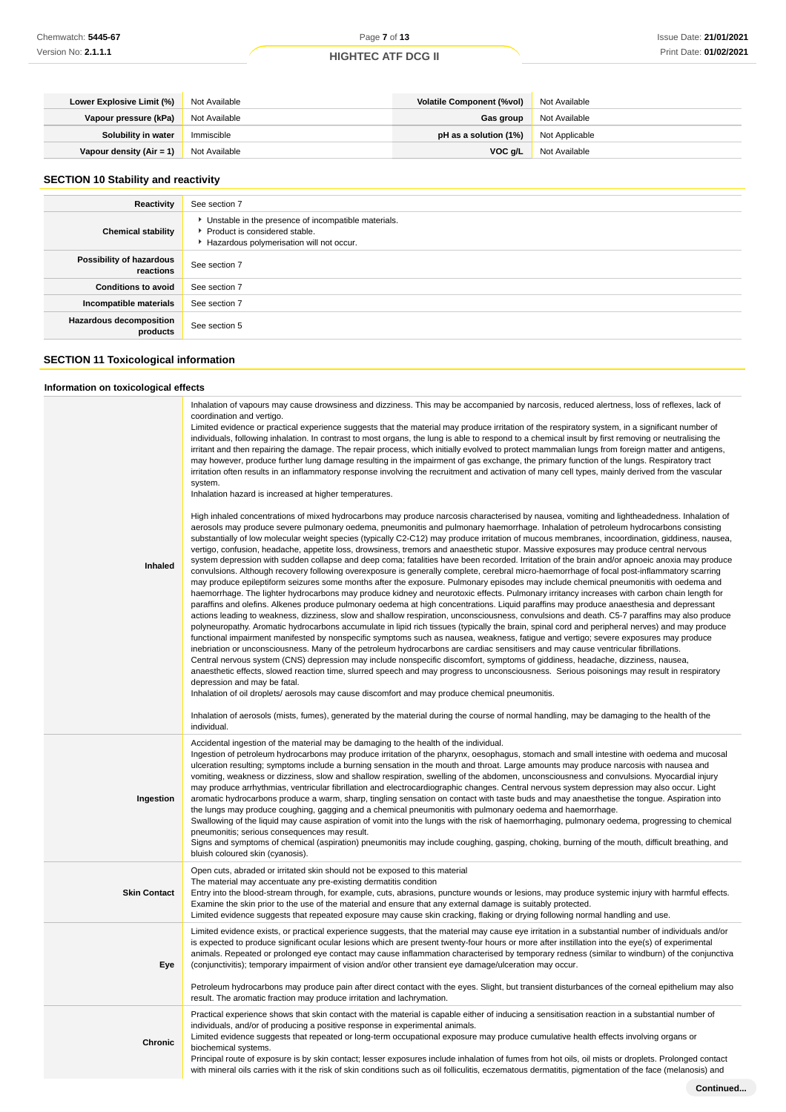| Lower Explosive Limit (%)                     | Not Available | Volatile Component (%vol) | Not Available  |
|-----------------------------------------------|---------------|---------------------------|----------------|
| Vapour pressure (kPa)                         | Not Available | Gas group                 | Not Available  |
| Solubility in water                           | Immiscible    | pH as a solution $(1%)$   | Not Applicable |
| <b>Vapour density (Air = 1)</b> Not Available |               | VOC a/L                   | Not Available  |

# **SECTION 10 Stability and reactivity**

| Reactivity                            | See section 7                                                                                                                      |
|---------------------------------------|------------------------------------------------------------------------------------------------------------------------------------|
| <b>Chemical stability</b>             | Unstable in the presence of incompatible materials.<br>▶ Product is considered stable.<br>Hazardous polymerisation will not occur. |
| Possibility of hazardous<br>reactions | See section 7                                                                                                                      |
| <b>Conditions to avoid</b>            | See section 7                                                                                                                      |
| Incompatible materials                | See section 7                                                                                                                      |
| Hazardous decomposition<br>products   | See section 5                                                                                                                      |

# **SECTION 11 Toxicological information**

# **Information on toxicological effects**

| Inhaled             | Inhalation of vapours may cause drowsiness and dizziness. This may be accompanied by narcosis, reduced alertness, loss of reflexes, lack of<br>coordination and vertigo.<br>Limited evidence or practical experience suggests that the material may produce irritation of the respiratory system, in a significant number of<br>individuals, following inhalation. In contrast to most organs, the lung is able to respond to a chemical insult by first removing or neutralising the<br>irritant and then repairing the damage. The repair process, which initially evolved to protect mammalian lungs from foreign matter and antigens,<br>may however, produce further lung damage resulting in the impairment of gas exchange, the primary function of the lungs. Respiratory tract<br>irritation often results in an inflammatory response involving the recruitment and activation of many cell types, mainly derived from the vascular<br>system.<br>Inhalation hazard is increased at higher temperatures.<br>High inhaled concentrations of mixed hydrocarbons may produce narcosis characterised by nausea, vomiting and lightheadedness. Inhalation of<br>aerosols may produce severe pulmonary oedema, pneumonitis and pulmonary haemorrhage. Inhalation of petroleum hydrocarbons consisting<br>substantially of low molecular weight species (typically C2-C12) may produce irritation of mucous membranes, incoordination, giddiness, nausea,<br>vertigo, confusion, headache, appetite loss, drowsiness, tremors and anaesthetic stupor. Massive exposures may produce central nervous<br>system depression with sudden collapse and deep coma; fatalities have been recorded. Irritation of the brain and/or apnoeic anoxia may produce<br>convulsions. Although recovery following overexposure is generally complete, cerebral micro-haemorrhage of focal post-inflammatory scarring<br>may produce epileptiform seizures some months after the exposure. Pulmonary episodes may include chemical pneumonitis with oedema and<br>haemorrhage. The lighter hydrocarbons may produce kidney and neurotoxic effects. Pulmonary irritancy increases with carbon chain length for<br>paraffins and olefins. Alkenes produce pulmonary oedema at high concentrations. Liquid paraffins may produce anaesthesia and depressant<br>actions leading to weakness, dizziness, slow and shallow respiration, unconsciousness, convulsions and death. C5-7 paraffins may also produce<br>polyneuropathy. Aromatic hydrocarbons accumulate in lipid rich tissues (typically the brain, spinal cord and peripheral nerves) and may produce<br>functional impairment manifested by nonspecific symptoms such as nausea, weakness, fatigue and vertigo; severe exposures may produce<br>inebriation or unconsciousness. Many of the petroleum hydrocarbons are cardiac sensitisers and may cause ventricular fibrillations.<br>Central nervous system (CNS) depression may include nonspecific discomfort, symptoms of giddiness, headache, dizziness, nausea,<br>anaesthetic effects, slowed reaction time, slurred speech and may progress to unconsciousness. Serious poisonings may result in respiratory<br>depression and may be fatal. |
|---------------------|-------------------------------------------------------------------------------------------------------------------------------------------------------------------------------------------------------------------------------------------------------------------------------------------------------------------------------------------------------------------------------------------------------------------------------------------------------------------------------------------------------------------------------------------------------------------------------------------------------------------------------------------------------------------------------------------------------------------------------------------------------------------------------------------------------------------------------------------------------------------------------------------------------------------------------------------------------------------------------------------------------------------------------------------------------------------------------------------------------------------------------------------------------------------------------------------------------------------------------------------------------------------------------------------------------------------------------------------------------------------------------------------------------------------------------------------------------------------------------------------------------------------------------------------------------------------------------------------------------------------------------------------------------------------------------------------------------------------------------------------------------------------------------------------------------------------------------------------------------------------------------------------------------------------------------------------------------------------------------------------------------------------------------------------------------------------------------------------------------------------------------------------------------------------------------------------------------------------------------------------------------------------------------------------------------------------------------------------------------------------------------------------------------------------------------------------------------------------------------------------------------------------------------------------------------------------------------------------------------------------------------------------------------------------------------------------------------------------------------------------------------------------------------------------------------------------------------------------------------------------------------------------------------------------------------------------------------------------------------------------------------------------------------------------------------------------------------------------------------------------------------------------------------------------------------------------------------------------------------------------------|
|                     | Inhalation of oil droplets/ aerosols may cause discomfort and may produce chemical pneumonitis.<br>Inhalation of aerosols (mists, fumes), generated by the material during the course of normal handling, may be damaging to the health of the<br>individual.                                                                                                                                                                                                                                                                                                                                                                                                                                                                                                                                                                                                                                                                                                                                                                                                                                                                                                                                                                                                                                                                                                                                                                                                                                                                                                                                                                                                                                                                                                                                                                                                                                                                                                                                                                                                                                                                                                                                                                                                                                                                                                                                                                                                                                                                                                                                                                                                                                                                                                                                                                                                                                                                                                                                                                                                                                                                                                                                                                                   |
| Ingestion           | Accidental ingestion of the material may be damaging to the health of the individual.<br>Ingestion of petroleum hydrocarbons may produce irritation of the pharynx, oesophagus, stomach and small intestine with oedema and mucosal<br>ulceration resulting; symptoms include a burning sensation in the mouth and throat. Large amounts may produce narcosis with nausea and<br>vomiting, weakness or dizziness, slow and shallow respiration, swelling of the abdomen, unconsciousness and convulsions. Myocardial injury<br>may produce arrhythmias, ventricular fibrillation and electrocardiographic changes. Central nervous system depression may also occur. Light<br>aromatic hydrocarbons produce a warm, sharp, tingling sensation on contact with taste buds and may anaesthetise the tongue. Aspiration into<br>the lungs may produce coughing, gagging and a chemical pneumonitis with pulmonary oedema and haemorrhage.<br>Swallowing of the liquid may cause aspiration of vomit into the lungs with the risk of haemorrhaging, pulmonary oedema, progressing to chemical<br>pneumonitis; serious consequences may result.<br>Signs and symptoms of chemical (aspiration) pneumonitis may include coughing, gasping, choking, burning of the mouth, difficult breathing, and<br>bluish coloured skin (cyanosis).                                                                                                                                                                                                                                                                                                                                                                                                                                                                                                                                                                                                                                                                                                                                                                                                                                                                                                                                                                                                                                                                                                                                                                                                                                                                                                                                                                                                                                                                                                                                                                                                                                                                                                                                                                                                                                                                                                                |
| <b>Skin Contact</b> | Open cuts, abraded or irritated skin should not be exposed to this material<br>The material may accentuate any pre-existing dermatitis condition<br>Entry into the blood-stream through, for example, cuts, abrasions, puncture wounds or lesions, may produce systemic injury with harmful effects.<br>Examine the skin prior to the use of the material and ensure that any external damage is suitably protected.<br>Limited evidence suggests that repeated exposure may cause skin cracking, flaking or drying following normal handling and use.                                                                                                                                                                                                                                                                                                                                                                                                                                                                                                                                                                                                                                                                                                                                                                                                                                                                                                                                                                                                                                                                                                                                                                                                                                                                                                                                                                                                                                                                                                                                                                                                                                                                                                                                                                                                                                                                                                                                                                                                                                                                                                                                                                                                                                                                                                                                                                                                                                                                                                                                                                                                                                                                                          |
| Eye                 | Limited evidence exists, or practical experience suggests, that the material may cause eye irritation in a substantial number of individuals and/or<br>is expected to produce significant ocular lesions which are present twenty-four hours or more after instillation into the eye(s) of experimental<br>animals. Repeated or prolonged eye contact may cause inflammation characterised by temporary redness (similar to windburn) of the conjunctiva<br>(conjunctivitis); temporary impairment of vision and/or other transient eye damage/ulceration may occur.<br>Petroleum hydrocarbons may produce pain after direct contact with the eyes. Slight, but transient disturbances of the corneal epithelium may also                                                                                                                                                                                                                                                                                                                                                                                                                                                                                                                                                                                                                                                                                                                                                                                                                                                                                                                                                                                                                                                                                                                                                                                                                                                                                                                                                                                                                                                                                                                                                                                                                                                                                                                                                                                                                                                                                                                                                                                                                                                                                                                                                                                                                                                                                                                                                                                                                                                                                                                       |
| <b>Chronic</b>      | result. The aromatic fraction may produce irritation and lachrymation.<br>Practical experience shows that skin contact with the material is capable either of inducing a sensitisation reaction in a substantial number of<br>individuals, and/or of producing a positive response in experimental animals.<br>Limited evidence suggests that repeated or long-term occupational exposure may produce cumulative health effects involving organs or<br>biochemical systems.<br>Principal route of exposure is by skin contact; lesser exposures include inhalation of fumes from hot oils, oil mists or droplets. Prolonged contact<br>with mineral oils carries with it the risk of skin conditions such as oil folliculitis, eczematous dermatitis, pigmentation of the face (melanosis) and                                                                                                                                                                                                                                                                                                                                                                                                                                                                                                                                                                                                                                                                                                                                                                                                                                                                                                                                                                                                                                                                                                                                                                                                                                                                                                                                                                                                                                                                                                                                                                                                                                                                                                                                                                                                                                                                                                                                                                                                                                                                                                                                                                                                                                                                                                                                                                                                                                                  |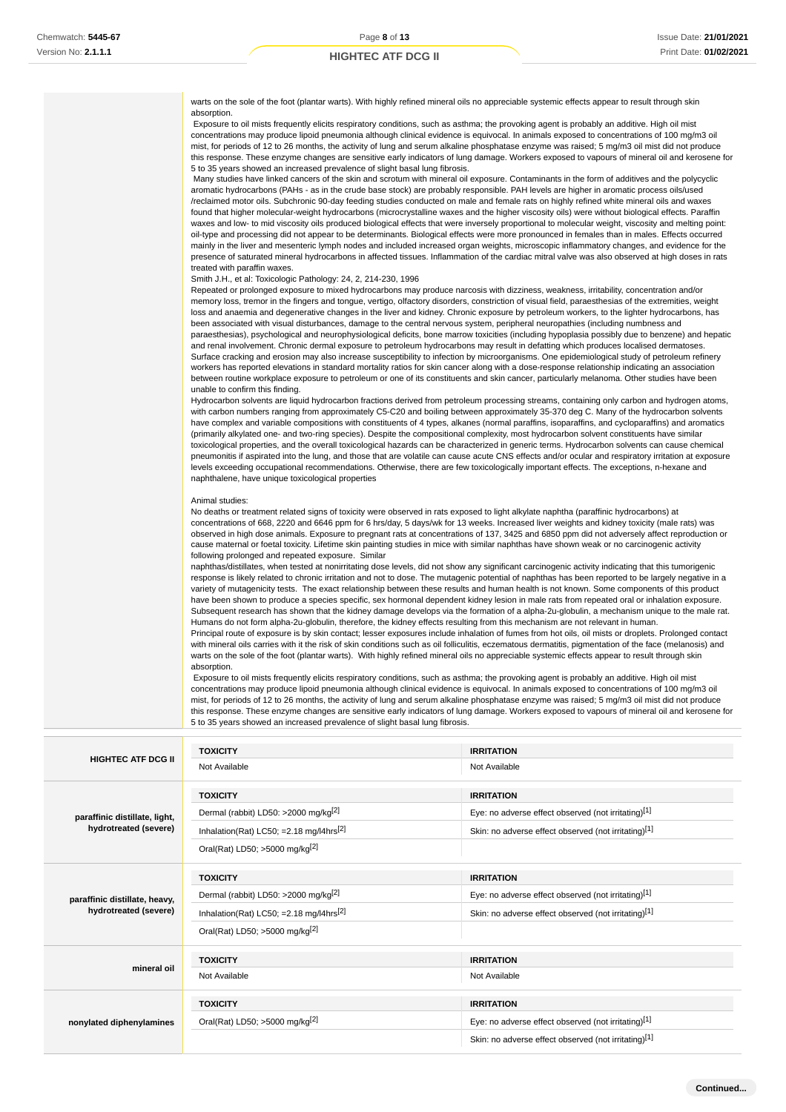| warts on the sole of the foot (plantar warts). With highly refined mineral oils no appreciable systemic effects appear to result through skin<br>absorption.                                                                                                                                                                                                                                                                                                                                                                                                                                                                                                                                                                                                                                                                                                                                                                                                                                                                                                                                                                                                                                                                                                                                                                                               |
|------------------------------------------------------------------------------------------------------------------------------------------------------------------------------------------------------------------------------------------------------------------------------------------------------------------------------------------------------------------------------------------------------------------------------------------------------------------------------------------------------------------------------------------------------------------------------------------------------------------------------------------------------------------------------------------------------------------------------------------------------------------------------------------------------------------------------------------------------------------------------------------------------------------------------------------------------------------------------------------------------------------------------------------------------------------------------------------------------------------------------------------------------------------------------------------------------------------------------------------------------------------------------------------------------------------------------------------------------------|
| Exposure to oil mists frequently elicits respiratory conditions, such as asthma; the provoking agent is probably an additive. High oil mist<br>concentrations may produce lipoid pneumonia although clinical evidence is equivocal. In animals exposed to concentrations of 100 mg/m3 oil<br>mist, for periods of 12 to 26 months, the activity of lung and serum alkaline phosphatase enzyme was raised; 5 mg/m3 oil mist did not produce<br>this response. These enzyme changes are sensitive early indicators of lung damage. Workers exposed to vapours of mineral oil and kerosene for<br>5 to 35 years showed an increased prevalence of slight basal lung fibrosis.                                                                                                                                                                                                                                                                                                                                                                                                                                                                                                                                                                                                                                                                                 |
| Many studies have linked cancers of the skin and scrotum with mineral oil exposure. Contaminants in the form of additives and the polycyclic<br>aromatic hydrocarbons (PAHs - as in the crude base stock) are probably responsible. PAH levels are higher in aromatic process oils/used<br>/reclaimed motor oils. Subchronic 90-day feeding studies conducted on male and female rats on highly refined white mineral oils and waxes<br>found that higher molecular-weight hydrocarbons (microcrystalline waxes and the higher viscosity oils) were without biological effects. Paraffin<br>waxes and low- to mid viscosity oils produced biological effects that were inversely proportional to molecular weight, viscosity and melting point:<br>oil-type and processing did not appear to be determinants. Biological effects were more pronounced in females than in males. Effects occurred                                                                                                                                                                                                                                                                                                                                                                                                                                                           |
| mainly in the liver and mesenteric lymph nodes and included increased organ weights, microscopic inflammatory changes, and evidence for the<br>presence of saturated mineral hydrocarbons in affected tissues. Inflammation of the cardiac mitral valve was also observed at high doses in rats<br>treated with paraffin waxes.<br>Smith J.H., et al: Toxicologic Pathology: 24, 2, 214-230, 1996                                                                                                                                                                                                                                                                                                                                                                                                                                                                                                                                                                                                                                                                                                                                                                                                                                                                                                                                                          |
| Repeated or prolonged exposure to mixed hydrocarbons may produce narcosis with dizziness, weakness, irritability, concentration and/or<br>memory loss, tremor in the fingers and tongue, vertigo, olfactory disorders, constriction of visual field, paraesthesias of the extremities, weight<br>loss and anaemia and degenerative changes in the liver and kidney. Chronic exposure by petroleum workers, to the lighter hydrocarbons, has<br>been associated with visual disturbances, damage to the central nervous system, peripheral neuropathies (including numbness and                                                                                                                                                                                                                                                                                                                                                                                                                                                                                                                                                                                                                                                                                                                                                                             |
| paraesthesias), psychological and neurophysiological deficits, bone marrow toxicities (including hypoplasia possibly due to benzene) and hepatic<br>and renal involvement. Chronic dermal exposure to petroleum hydrocarbons may result in defatting which produces localised dermatoses.<br>Surface cracking and erosion may also increase susceptibility to infection by microorganisms. One epidemiological study of petroleum refinery<br>workers has reported elevations in standard mortality ratios for skin cancer along with a dose-response relationship indicating an association<br>between routine workplace exposure to petroleum or one of its constituents and skin cancer, particularly melanoma. Other studies have been<br>unable to confirm this finding.                                                                                                                                                                                                                                                                                                                                                                                                                                                                                                                                                                              |
| Hydrocarbon solvents are liquid hydrocarbon fractions derived from petroleum processing streams, containing only carbon and hydrogen atoms,<br>with carbon numbers ranging from approximately C5-C20 and boiling between approximately 35-370 deg C. Many of the hydrocarbon solvents<br>have complex and variable compositions with constituents of 4 types, alkanes (normal paraffins, isoparaffins, and cycloparaffins) and aromatics<br>(primarily alkylated one- and two-ring species). Despite the compositional complexity, most hydrocarbon solvent constituents have similar<br>toxicological properties, and the overall toxicological hazards can be characterized in generic terms. Hydrocarbon solvents can cause chemical<br>pneumonitis if aspirated into the lung, and those that are volatile can cause acute CNS effects and/or ocular and respiratory irritation at exposure<br>levels exceeding occupational recommendations. Otherwise, there are few toxicologically important effects. The exceptions, n-hexane and<br>naphthalene, have unique toxicological properties                                                                                                                                                                                                                                                            |
| Animal studies:<br>No deaths or treatment related signs of toxicity were observed in rats exposed to light alkylate naphtha (paraffinic hydrocarbons) at<br>concentrations of 668, 2220 and 6646 ppm for 6 hrs/day, 5 days/wk for 13 weeks. Increased liver weights and kidney toxicity (male rats) was<br>observed in high dose animals. Exposure to pregnant rats at concentrations of 137, 3425 and 6850 ppm did not adversely affect reproduction or<br>cause maternal or foetal toxicity. Lifetime skin painting studies in mice with similar naphthas have shown weak or no carcinogenic activity<br>following prolonged and repeated exposure. Similar                                                                                                                                                                                                                                                                                                                                                                                                                                                                                                                                                                                                                                                                                              |
| naphthas/distillates, when tested at nonirritating dose levels, did not show any significant carcinogenic activity indicating that this tumorigenic<br>response is likely related to chronic irritation and not to dose. The mutagenic potential of naphthas has been reported to be largely negative in a<br>variety of mutagenicity tests. The exact relationship between these results and human health is not known. Some components of this product<br>have been shown to produce a species specific, sex hormonal dependent kidney lesion in male rats from repeated oral or inhalation exposure.<br>Subsequent research has shown that the kidney damage develops via the formation of a alpha-2u-globulin, a mechanism unique to the male rat.<br>Humans do not form alpha-2u-globulin, therefore, the kidney effects resulting from this mechanism are not relevant in human.<br>Principal route of exposure is by skin contact; lesser exposures include inhalation of fumes from hot oils, oil mists or droplets. Prolonged contact<br>with mineral oils carries with it the risk of skin conditions such as oil folliculitis, eczematous dermatitis, pigmentation of the face (melanosis) and<br>warts on the sole of the foot (plantar warts). With highly refined mineral oils no appreciable systemic effects appear to result through skin |
| absorption.                                                                                                                                                                                                                                                                                                                                                                                                                                                                                                                                                                                                                                                                                                                                                                                                                                                                                                                                                                                                                                                                                                                                                                                                                                                                                                                                                |

 Exposure to oil mists frequently elicits respiratory conditions, such as asthma; the provoking agent is probably an additive. High oil mist concentrations may produce lipoid pneumonia although clinical evidence is equivocal. In animals exposed to concentrations of 100 mg/m3 oil mist, for periods of 12 to 26 months, the activity of lung and serum alkaline phosphatase enzyme was raised; 5 mg/m3 oil mist did not produce this response. These enzyme changes are sensitive early indicators of lung damage. Workers exposed to vapours of mineral oil and kerosene for 5 to 35 years showed an increased prevalence of slight basal lung fibrosis.

|                               | <b>TOXICITY</b>                                      | <b>IRRITATION</b>                                    |
|-------------------------------|------------------------------------------------------|------------------------------------------------------|
| <b>HIGHTEC ATF DCG II</b>     | Not Available                                        | Not Available                                        |
|                               | <b>TOXICITY</b>                                      | <b>IRRITATION</b>                                    |
| paraffinic distillate, light, | Dermal (rabbit) LD50: >2000 mg/kg <sup>[2]</sup>     | Eye: no adverse effect observed (not irritating)[1]  |
| hydrotreated (severe)         | Inhalation(Rat) LC50; = 2.18 mg/l4hrs <sup>[2]</sup> | Skin: no adverse effect observed (not irritating)[1] |
|                               | Oral(Rat) LD50; >5000 mg/kg <sup>[2]</sup>           |                                                      |
|                               | <b>TOXICITY</b>                                      | <b>IRRITATION</b>                                    |
| paraffinic distillate, heavy, | Dermal (rabbit) LD50: >2000 mg/kg <sup>[2]</sup>     | Eye: no adverse effect observed (not irritating)[1]  |
| hydrotreated (severe)         | Inhalation(Rat) LC50; = 2.18 mg/l4hrs <sup>[2]</sup> | Skin: no adverse effect observed (not irritating)[1] |
|                               | Oral(Rat) LD50; >5000 mg/kg <sup>[2]</sup>           |                                                      |
|                               | <b>TOXICITY</b>                                      | <b>IRRITATION</b>                                    |
| mineral oil                   | Not Available                                        | Not Available                                        |
|                               | <b>TOXICITY</b>                                      | <b>IRRITATION</b>                                    |
| nonylated diphenylamines      | Oral(Rat) LD50; >5000 mg/kg <sup>[2]</sup>           | Eye: no adverse effect observed (not irritating)[1]  |
|                               |                                                      | Skin: no adverse effect observed (not irritating)[1] |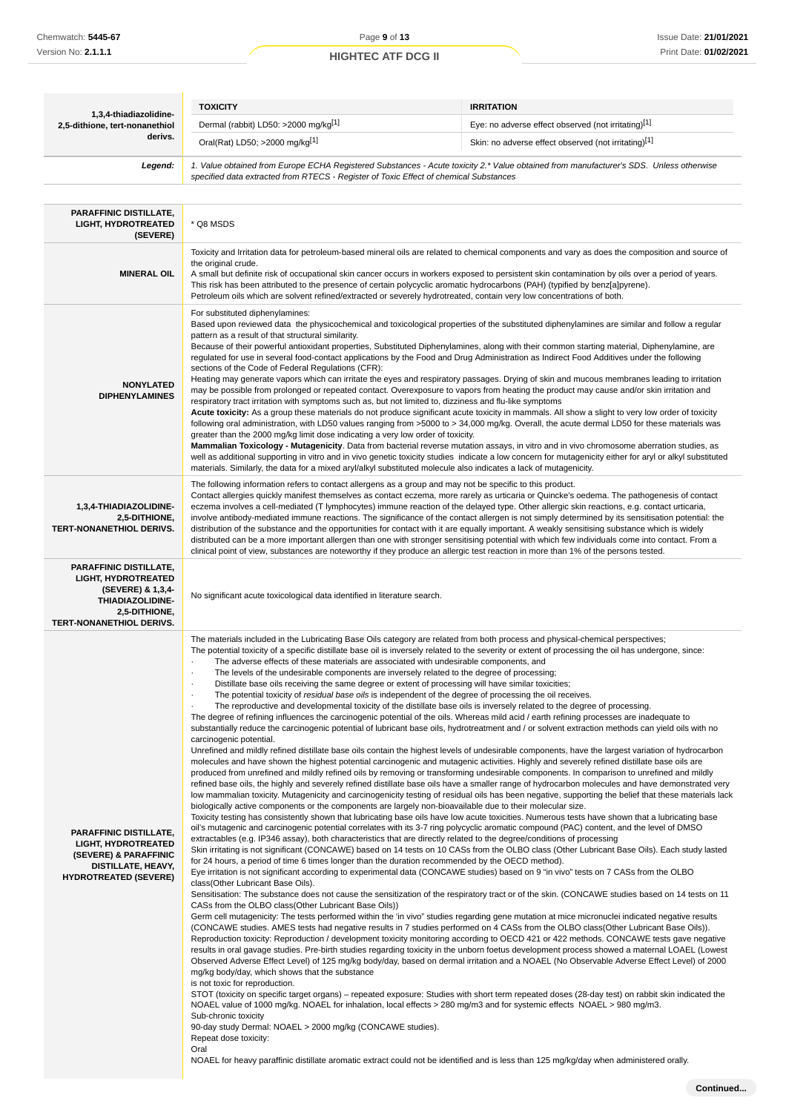| 1,3,4-thiadiazolidine-                                                                                                                                   | <b>TOXICITY</b>                                                                                                                                                                                                                                                                                                                                                                                                                                                                                                                                                                                                                                                                                                                                                                                                                                                                                                                                                                                                                                                                                                                                                                                                                                                                                                                                                                                                                                                                                                                                                                                                                                                                                                                                                                                                                                                                                                                                                                                                                                                                                                                                                                                                                                                                                                                                                                                                                                                                                                                                                                                                                                                                                                                                                                                                                                                                                                                                                                                                                                                                                                                                                                                                                                                                                                                                                                                                                                                                                                                                                                                                                                                                                                                                                                                                                                                                                                                                                                                                                                                                                                                                                                                                                                                                                                                                                  | <b>IRRITATION</b>                                                                                                                                                                                                                                                                                                                                                                                                                                                                                                                                                                                                                                                                                                                                                                                                                                                                                                                                                                                                                                                                                                                                                                                                                                                                                                                               |  |
|----------------------------------------------------------------------------------------------------------------------------------------------------------|------------------------------------------------------------------------------------------------------------------------------------------------------------------------------------------------------------------------------------------------------------------------------------------------------------------------------------------------------------------------------------------------------------------------------------------------------------------------------------------------------------------------------------------------------------------------------------------------------------------------------------------------------------------------------------------------------------------------------------------------------------------------------------------------------------------------------------------------------------------------------------------------------------------------------------------------------------------------------------------------------------------------------------------------------------------------------------------------------------------------------------------------------------------------------------------------------------------------------------------------------------------------------------------------------------------------------------------------------------------------------------------------------------------------------------------------------------------------------------------------------------------------------------------------------------------------------------------------------------------------------------------------------------------------------------------------------------------------------------------------------------------------------------------------------------------------------------------------------------------------------------------------------------------------------------------------------------------------------------------------------------------------------------------------------------------------------------------------------------------------------------------------------------------------------------------------------------------------------------------------------------------------------------------------------------------------------------------------------------------------------------------------------------------------------------------------------------------------------------------------------------------------------------------------------------------------------------------------------------------------------------------------------------------------------------------------------------------------------------------------------------------------------------------------------------------------------------------------------------------------------------------------------------------------------------------------------------------------------------------------------------------------------------------------------------------------------------------------------------------------------------------------------------------------------------------------------------------------------------------------------------------------------------------------------------------------------------------------------------------------------------------------------------------------------------------------------------------------------------------------------------------------------------------------------------------------------------------------------------------------------------------------------------------------------------------------------------------------------------------------------------------------------------------------------------------------------------------------------------------------------------------------------------------------------------------------------------------------------------------------------------------------------------------------------------------------------------------------------------------------------------------------------------------------------------------------------------------------------------------------------------------------------------------------------------------------------------------------------------------|-------------------------------------------------------------------------------------------------------------------------------------------------------------------------------------------------------------------------------------------------------------------------------------------------------------------------------------------------------------------------------------------------------------------------------------------------------------------------------------------------------------------------------------------------------------------------------------------------------------------------------------------------------------------------------------------------------------------------------------------------------------------------------------------------------------------------------------------------------------------------------------------------------------------------------------------------------------------------------------------------------------------------------------------------------------------------------------------------------------------------------------------------------------------------------------------------------------------------------------------------------------------------------------------------------------------------------------------------|--|
| 2,5-dithione, tert-nonanethiol                                                                                                                           | Dermal (rabbit) LD50: >2000 mg/kg[1]                                                                                                                                                                                                                                                                                                                                                                                                                                                                                                                                                                                                                                                                                                                                                                                                                                                                                                                                                                                                                                                                                                                                                                                                                                                                                                                                                                                                                                                                                                                                                                                                                                                                                                                                                                                                                                                                                                                                                                                                                                                                                                                                                                                                                                                                                                                                                                                                                                                                                                                                                                                                                                                                                                                                                                                                                                                                                                                                                                                                                                                                                                                                                                                                                                                                                                                                                                                                                                                                                                                                                                                                                                                                                                                                                                                                                                                                                                                                                                                                                                                                                                                                                                                                                                                                                                                             | Eye: no adverse effect observed (not irritating)[1]                                                                                                                                                                                                                                                                                                                                                                                                                                                                                                                                                                                                                                                                                                                                                                                                                                                                                                                                                                                                                                                                                                                                                                                                                                                                                             |  |
| derivs.                                                                                                                                                  | Oral(Rat) LD50; >2000 mg/kg <sup>[1]</sup>                                                                                                                                                                                                                                                                                                                                                                                                                                                                                                                                                                                                                                                                                                                                                                                                                                                                                                                                                                                                                                                                                                                                                                                                                                                                                                                                                                                                                                                                                                                                                                                                                                                                                                                                                                                                                                                                                                                                                                                                                                                                                                                                                                                                                                                                                                                                                                                                                                                                                                                                                                                                                                                                                                                                                                                                                                                                                                                                                                                                                                                                                                                                                                                                                                                                                                                                                                                                                                                                                                                                                                                                                                                                                                                                                                                                                                                                                                                                                                                                                                                                                                                                                                                                                                                                                                                       | Skin: no adverse effect observed (not irritating)[1]                                                                                                                                                                                                                                                                                                                                                                                                                                                                                                                                                                                                                                                                                                                                                                                                                                                                                                                                                                                                                                                                                                                                                                                                                                                                                            |  |
| Legend:                                                                                                                                                  | 1. Value obtained from Europe ECHA Registered Substances - Acute toxicity 2.* Value obtained from manufacturer's SDS. Unless otherwise<br>specified data extracted from RTECS - Register of Toxic Effect of chemical Substances                                                                                                                                                                                                                                                                                                                                                                                                                                                                                                                                                                                                                                                                                                                                                                                                                                                                                                                                                                                                                                                                                                                                                                                                                                                                                                                                                                                                                                                                                                                                                                                                                                                                                                                                                                                                                                                                                                                                                                                                                                                                                                                                                                                                                                                                                                                                                                                                                                                                                                                                                                                                                                                                                                                                                                                                                                                                                                                                                                                                                                                                                                                                                                                                                                                                                                                                                                                                                                                                                                                                                                                                                                                                                                                                                                                                                                                                                                                                                                                                                                                                                                                                  |                                                                                                                                                                                                                                                                                                                                                                                                                                                                                                                                                                                                                                                                                                                                                                                                                                                                                                                                                                                                                                                                                                                                                                                                                                                                                                                                                 |  |
| <b>PARAFFINIC DISTILLATE,</b><br><b>LIGHT, HYDROTREATED</b><br>(SEVERE)                                                                                  | * Q8 MSDS                                                                                                                                                                                                                                                                                                                                                                                                                                                                                                                                                                                                                                                                                                                                                                                                                                                                                                                                                                                                                                                                                                                                                                                                                                                                                                                                                                                                                                                                                                                                                                                                                                                                                                                                                                                                                                                                                                                                                                                                                                                                                                                                                                                                                                                                                                                                                                                                                                                                                                                                                                                                                                                                                                                                                                                                                                                                                                                                                                                                                                                                                                                                                                                                                                                                                                                                                                                                                                                                                                                                                                                                                                                                                                                                                                                                                                                                                                                                                                                                                                                                                                                                                                                                                                                                                                                                                        |                                                                                                                                                                                                                                                                                                                                                                                                                                                                                                                                                                                                                                                                                                                                                                                                                                                                                                                                                                                                                                                                                                                                                                                                                                                                                                                                                 |  |
| <b>MINERAL OIL</b>                                                                                                                                       | Toxicity and Irritation data for petroleum-based mineral oils are related to chemical components and vary as does the composition and source of<br>the original crude.<br>A small but definite risk of occupational skin cancer occurs in workers exposed to persistent skin contamination by oils over a period of years.<br>This risk has been attributed to the presence of certain polycyclic aromatic hydrocarbons (PAH) (typified by benz[a]pyrene).<br>Petroleum oils which are solvent refined/extracted or severely hydrotreated, contain very low concentrations of both.                                                                                                                                                                                                                                                                                                                                                                                                                                                                                                                                                                                                                                                                                                                                                                                                                                                                                                                                                                                                                                                                                                                                                                                                                                                                                                                                                                                                                                                                                                                                                                                                                                                                                                                                                                                                                                                                                                                                                                                                                                                                                                                                                                                                                                                                                                                                                                                                                                                                                                                                                                                                                                                                                                                                                                                                                                                                                                                                                                                                                                                                                                                                                                                                                                                                                                                                                                                                                                                                                                                                                                                                                                                                                                                                                                              |                                                                                                                                                                                                                                                                                                                                                                                                                                                                                                                                                                                                                                                                                                                                                                                                                                                                                                                                                                                                                                                                                                                                                                                                                                                                                                                                                 |  |
| <b>NONYLATED</b><br><b>DIPHENYLAMINES</b>                                                                                                                | For substituted diphenylamines:<br>pattern as a result of that structural similarity.<br>sections of the Code of Federal Regulations (CFR):<br>respiratory tract irritation with symptoms such as, but not limited to, dizziness and flu-like symptoms<br>greater than the 2000 mg/kg limit dose indicating a very low order of toxicity.<br>materials. Similarly, the data for a mixed aryl/alkyl substituted molecule also indicates a lack of mutagenicity.                                                                                                                                                                                                                                                                                                                                                                                                                                                                                                                                                                                                                                                                                                                                                                                                                                                                                                                                                                                                                                                                                                                                                                                                                                                                                                                                                                                                                                                                                                                                                                                                                                                                                                                                                                                                                                                                                                                                                                                                                                                                                                                                                                                                                                                                                                                                                                                                                                                                                                                                                                                                                                                                                                                                                                                                                                                                                                                                                                                                                                                                                                                                                                                                                                                                                                                                                                                                                                                                                                                                                                                                                                                                                                                                                                                                                                                                                                   | Based upon reviewed data the physicochemical and toxicological properties of the substituted diphenylamines are similar and follow a regular<br>Because of their powerful antioxidant properties, Substituted Diphenylamines, along with their common starting material, Diphenylamine, are<br>requlated for use in several food-contact applications by the Food and Drug Administration as Indirect Food Additives under the following<br>Heating may generate vapors which can irritate the eyes and respiratory passages. Drying of skin and mucous membranes leading to irritation<br>may be possible from prolonged or repeated contact. Overexposure to vapors from heating the product may cause and/or skin irritation and<br>Acute toxicity: As a group these materials do not produce significant acute toxicity in mammals. All show a slight to very low order of toxicity<br>following oral administration, with LD50 values ranging from >5000 to > 34,000 mg/kg. Overall, the acute dermal LD50 for these materials was<br>Mammalian Toxicology - Mutagenicity. Data from bacterial reverse mutation assays, in vitro and in vivo chromosome aberration studies, as<br>well as additional supporting in vitro and in vivo genetic toxicity studies indicate a low concern for mutagenicity either for aryl or alkyl substituted |  |
| 1,3,4-THIADIAZOLIDINE-<br>2,5-DITHIONE,<br><b>TERT-NONANETHIOL DERIVS.</b>                                                                               | The following information refers to contact allergens as a group and may not be specific to this product.<br>Contact allergies quickly manifest themselves as contact eczema, more rarely as urticaria or Quincke's oedema. The pathogenesis of contact<br>eczema involves a cell-mediated (T lymphocytes) immune reaction of the delayed type. Other allergic skin reactions, e.g. contact urticaria,<br>involve antibody-mediated immune reactions. The significance of the contact allergen is not simply determined by its sensitisation potential: the<br>distribution of the substance and the opportunities for contact with it are equally important. A weakly sensitising substance which is widely<br>distributed can be a more important allergen than one with stronger sensitising potential with which few individuals come into contact. From a<br>clinical point of view, substances are noteworthy if they produce an allergic test reaction in more than 1% of the persons tested.                                                                                                                                                                                                                                                                                                                                                                                                                                                                                                                                                                                                                                                                                                                                                                                                                                                                                                                                                                                                                                                                                                                                                                                                                                                                                                                                                                                                                                                                                                                                                                                                                                                                                                                                                                                                                                                                                                                                                                                                                                                                                                                                                                                                                                                                                                                                                                                                                                                                                                                                                                                                                                                                                                                                                                                                                                                                                                                                                                                                                                                                                                                                                                                                                                                                                                                                                             |                                                                                                                                                                                                                                                                                                                                                                                                                                                                                                                                                                                                                                                                                                                                                                                                                                                                                                                                                                                                                                                                                                                                                                                                                                                                                                                                                 |  |
| <b>PARAFFINIC DISTILLATE,</b><br><b>LIGHT, HYDROTREATED</b><br>(SEVERE) & 1,3,4-<br>THIADIAZOLIDINE-<br>2,5-DITHIONE,<br><b>TERT-NONANETHIOL DERIVS.</b> | No significant acute toxicological data identified in literature search.                                                                                                                                                                                                                                                                                                                                                                                                                                                                                                                                                                                                                                                                                                                                                                                                                                                                                                                                                                                                                                                                                                                                                                                                                                                                                                                                                                                                                                                                                                                                                                                                                                                                                                                                                                                                                                                                                                                                                                                                                                                                                                                                                                                                                                                                                                                                                                                                                                                                                                                                                                                                                                                                                                                                                                                                                                                                                                                                                                                                                                                                                                                                                                                                                                                                                                                                                                                                                                                                                                                                                                                                                                                                                                                                                                                                                                                                                                                                                                                                                                                                                                                                                                                                                                                                                         |                                                                                                                                                                                                                                                                                                                                                                                                                                                                                                                                                                                                                                                                                                                                                                                                                                                                                                                                                                                                                                                                                                                                                                                                                                                                                                                                                 |  |
| <b>PARAFFINIC DISTILLATE,</b><br><b>LIGHT, HYDROTREATED</b><br>(SEVERE) & PARAFFINIC<br>DISTILLATE, HEAVY,<br><b>HYDROTREATED (SEVERE)</b>               | The materials included in the Lubricating Base Oils category are related from both process and physical-chemical perspectives;<br>The potential toxicity of a specific distillate base oil is inversely related to the severity or extent of processing the oil has undergone, since:<br>The adverse effects of these materials are associated with undesirable components, and<br>The levels of the undesirable components are inversely related to the degree of processing;<br>Distillate base oils receiving the same degree or extent of processing will have similar toxicities;<br>The potential toxicity of residual base oils is independent of the degree of processing the oil receives.<br>$\cdot$<br>The reproductive and developmental toxicity of the distillate base oils is inversely related to the degree of processing.<br>$\cdot$<br>The degree of refining influences the carcinogenic potential of the oils. Whereas mild acid / earth refining processes are inadequate to<br>substantially reduce the carcinogenic potential of lubricant base oils, hydrotreatment and / or solvent extraction methods can yield oils with no<br>carcinogenic potential.<br>Unrefined and mildly refined distillate base oils contain the highest levels of undesirable components, have the largest variation of hydrocarbon<br>molecules and have shown the highest potential carcinogenic and mutagenic activities. Highly and severely refined distillate base oils are<br>produced from unrefined and mildly refined oils by removing or transforming undesirable components. In comparison to unrefined and mildly<br>refined base oils, the highly and severely refined distillate base oils have a smaller range of hydrocarbon molecules and have demonstrated very<br>low mammalian toxicity. Mutagenicity and carcinogenicity testing of residual oils has been negative, supporting the belief that these materials lack<br>biologically active components or the components are largely non-bioavailable due to their molecular size.<br>Toxicity testing has consistently shown that lubricating base oils have low acute toxicities. Numerous tests have shown that a lubricating base<br>oil's mutagenic and carcinogenic potential correlates with its 3-7 ring polycyclic aromatic compound (PAC) content, and the level of DMSO<br>extractables (e.g. IP346 assay), both characteristics that are directly related to the degree/conditions of processing<br>Skin irritating is not significant (CONCAWE) based on 14 tests on 10 CASs from the OLBO class (Other Lubricant Base Oils). Each study lasted<br>for 24 hours, a period of time 6 times longer than the duration recommended by the OECD method).<br>Eye irritation is not significant according to experimental data (CONCAWE studies) based on 9 "in vivo" tests on 7 CASs from the OLBO<br>class(Other Lubricant Base Oils).<br>Sensitisation: The substance does not cause the sensitization of the respiratory tract or of the skin. (CONCAWE studies based on 14 tests on 11<br>CASs from the OLBO class (Other Lubricant Base Oils))<br>Germ cell mutagenicity: The tests performed within the 'in vivo" studies regarding gene mutation at mice micronuclei indicated negative results<br>(CONCAWE studies. AMES tests had negative results in 7 studies performed on 4 CASs from the OLBO class(Other Lubricant Base Oils)).<br>Reproduction toxicity: Reproduction / development toxicity monitoring according to OECD 421 or 422 methods. CONCAWE tests gave negative<br>results in oral gavage studies. Pre-birth studies regarding toxicity in the unborn foetus development process showed a maternal LOAEL (Lowest<br>Observed Adverse Effect Level) of 125 mg/kg body/day, based on dermal irritation and a NOAEL (No Observable Adverse Effect Level) of 2000<br>mg/kg body/day, which shows that the substance<br>is not toxic for reproduction.<br>STOT (toxicity on specific target organs) – repeated exposure: Studies with short term repeated doses (28-day test) on rabbit skin indicated the<br>NOAEL value of 1000 mg/kg. NOAEL for inhalation, local effects > 280 mg/m3 and for systemic effects NOAEL > 980 mg/m3.<br>Sub-chronic toxicity<br>90-day study Dermal: NOAEL > 2000 mg/kg (CONCAWE studies).<br>Repeat dose toxicity:<br>Oral |                                                                                                                                                                                                                                                                                                                                                                                                                                                                                                                                                                                                                                                                                                                                                                                                                                                                                                                                                                                                                                                                                                                                                                                                                                                                                                                                                 |  |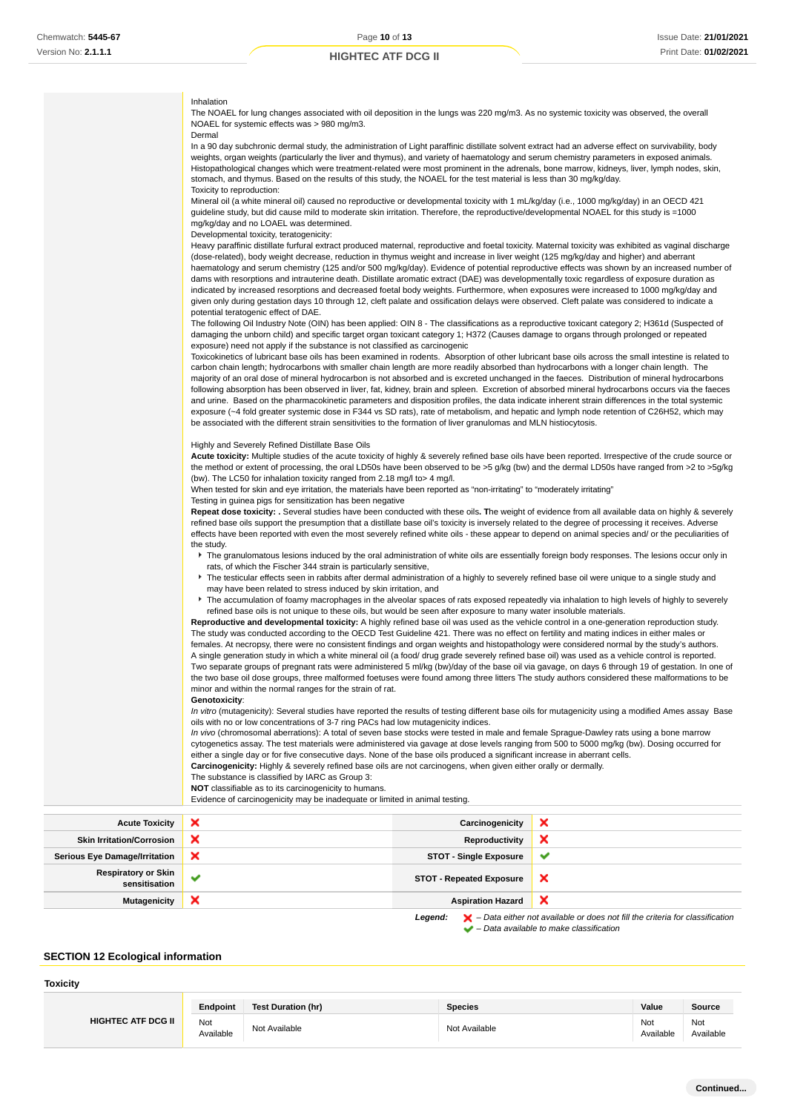# Inhalation

The NOAEL for lung changes associated with oil deposition in the lungs was 220 mg/m3. As no systemic toxicity was observed, the overall<br>NOAEL for systemic effects was > 980 mg/m3. nges associated with<br>cts was > 980 mg/m3.

| $=$ $\frac{1}{2}$ of $\frac{1}{2}$ order the choice was $\geq$ 000 $\frac{1}{2}$<br>Dermal                                                                                                                                                                                               |
|------------------------------------------------------------------------------------------------------------------------------------------------------------------------------------------------------------------------------------------------------------------------------------------|
| In a 90 day subchronic dermal study, the administration of Light paraffinic distillate solvent extract had an adverse effect on survivability, body                                                                                                                                      |
| weights, organ weights (particularly the liver and thymus), and variety of haematology and serum chemistry parameters in exposed animals.<br>Histopathological changes which were treatment-related were most prominent in the adrenals, bone marrow, kidneys, liver, lymph nodes, skin, |
| stomach, and thymus. Based on the results of this study, the NOAEL for the test material is less than 30 mg/kg/day.                                                                                                                                                                      |
| Toxicity to reproduction:                                                                                                                                                                                                                                                                |
| Mineral oil (a white mineral oil) caused no reproductive or developmental toxicity with 1 mL/kg/day (i.e., 1000 mg/kg/day) in an OECD 421                                                                                                                                                |
| guideline study, but did cause mild to moderate skin irritation. Therefore, the reproductive/developmental NOAEL for this study is =1000                                                                                                                                                 |
| mg/kg/day and no LOAEL was determined.                                                                                                                                                                                                                                                   |
| Developmental toxicity, teratogenicity:                                                                                                                                                                                                                                                  |
| Heavy paraffinic distillate furfural extract produced maternal, reproductive and foetal toxicity. Maternal toxicity was exhibited as vaginal discharge                                                                                                                                   |
| (dose-related), body weight decrease, reduction in thymus weight and increase in liver weight (125 mg/kg/day and higher) and aberrant                                                                                                                                                    |
| haematology and serum chemistry (125 and/or 500 mg/kg/day). Evidence of potential reproductive effects was shown by an increased number of                                                                                                                                               |
| dams with resorptions and intrauterine death. Distillate aromatic extract (DAE) was developmentally toxic regardless of exposure duration as                                                                                                                                             |
| indicated by increased resorptions and decreased foetal body weights. Furthermore, when exposures were increased to 1000 mg/kg/day and                                                                                                                                                   |
| given only during gestation days 10 through 12, cleft palate and ossification delays were observed. Cleft palate was considered to indicate a                                                                                                                                            |
| potential teratogenic effect of DAE.<br>The following Oil Industry Note (OIN) has been applied: OIN 8 - The classifications as a reproductive toxicant category 2; H361d (Suspected of                                                                                                   |
| damaging the unborn child) and specific target organ toxicant category 1; H372 (Causes damage to organs through prolonged or repeated                                                                                                                                                    |
| exposure) need not apply if the substance is not classified as carcinogenic                                                                                                                                                                                                              |
| Toxicokinetics of lubricant base oils has been examined in rodents. Absorption of other lubricant base oils across the small intestine is related to                                                                                                                                     |
| carbon chain length; hydrocarbons with smaller chain length are more readily absorbed than hydrocarbons with a longer chain length. The                                                                                                                                                  |
| majority of an oral dose of mineral hydrocarbon is not absorbed and is excreted unchanged in the faeces. Distribution of mineral hydrocarbons                                                                                                                                            |
| following absorption has been observed in liver, fat, kidney, brain and spleen. Excretion of absorbed mineral hydrocarbons occurs via the faeces                                                                                                                                         |
| and urine. Based on the pharmacokinetic parameters and disposition profiles, the data indicate inherent strain differences in the total systemic                                                                                                                                         |
| exposure (~4 fold greater systemic dose in F344 vs SD rats), rate of metabolism, and hepatic and lymph node retention of C26H52, which may                                                                                                                                               |
| be associated with the different strain sensitivities to the formation of liver granulomas and MLN histiocytosis.                                                                                                                                                                        |
| Highly and Severely Refined Distillate Base Oils                                                                                                                                                                                                                                         |
| Acute toxicity: Multiple studies of the acute toxicity of highly & severely refined base oils have been reported. Irrespective of the crude source or                                                                                                                                    |
| the method or extent of processing, the oral LD50s have been observed to be >5 g/kg (bw) and the dermal LD50s have ranged from >2 to >5g/kg                                                                                                                                              |
| (bw). The LC50 for inhalation toxicity ranged from 2.18 mg/l to > 4 mg/l.                                                                                                                                                                                                                |
| When tested for skin and eye irritation, the materials have been reported as "non-irritating" to "moderately irritating"                                                                                                                                                                 |
| Testing in guinea pigs for sensitization has been negative                                                                                                                                                                                                                               |
| Repeat dose toxicity: . Several studies have been conducted with these oils. The weight of evidence from all available data on highly & severely                                                                                                                                         |
| refined base oils support the presumption that a distillate base oil's toxicity is inversely related to the degree of processing it receives. Adverse                                                                                                                                    |
| effects have been reported with even the most severely refined white oils - these appear to depend on animal species and/ or the peculiarities of                                                                                                                                        |
| the study.                                                                                                                                                                                                                                                                               |
| The granulomatous lesions induced by the oral administration of white oils are essentially foreign body responses. The lesions occur only in<br>rats, of which the Fischer 344 strain is particularly sensitive,                                                                         |
| The testicular effects seen in rabbits after dermal administration of a highly to severely refined base oil were unique to a single study and                                                                                                                                            |
| may have been related to stress induced by skin irritation, and                                                                                                                                                                                                                          |
| The accumulation of foamy macrophages in the alveolar spaces of rats exposed repeatedly via inhalation to high levels of highly to severely                                                                                                                                              |
| refined base oils is not unique to these oils, but would be seen after exposure to many water insoluble materials.                                                                                                                                                                       |
| Reproductive and developmental toxicity: A highly refined base oil was used as the vehicle control in a one-generation reproduction study.                                                                                                                                               |
| The study was conducted according to the OECD Test Guideline 421. There was no effect on fertility and mating indices in either males or                                                                                                                                                 |
| females. At necropsy, there were no consistent findings and organ weights and histopathology were considered normal by the study's authors.                                                                                                                                              |
| A single generation study in which a white mineral oil (a food/ drug grade severely refined base oil) was used as a vehicle control is reported.                                                                                                                                         |
| Two separate groups of pregnant rats were administered 5 ml/kg (bw)/day of the base oil via gavage, on days 6 through 19 of gestation. In one of                                                                                                                                         |
| the two base oil dose groups, three malformed foetuses were found among three litters The study authors considered these malformations to be                                                                                                                                             |
| minor and within the normal ranges for the strain of rat.                                                                                                                                                                                                                                |
| Genotoxicity:                                                                                                                                                                                                                                                                            |
| In vitro (mutagenicity): Several studies have reported the results of testing different base oils for mutagenicity using a modified Ames assay Base                                                                                                                                      |
| oils with no or low concentrations of 3-7 ring PACs had low mutagenicity indices.<br>In vivo (chromosomal aberrations): A total of seven base stocks were tested in male and female Sprague-Dawley rats using a bone marrow                                                              |
|                                                                                                                                                                                                                                                                                          |

cytogenetics assay. The test materials were administered via gavage at dose levels ranging from 500 to 5000 mg/kg (bw). Dosing occurred for either a single day or for five consecutive days. None of the base oils produced a significant increase in aberrant cells. **Carcinogenicity:** Highly & severely refined base oils are not carcinogens, when given either orally or dermally.

The substance is classified by IARC as Group 3:

**NOT** classifiable as to its carcinogenicity to humans.

Evidence of carcinogenicity may be inadequate or limited in animal testing.

| <b>Acute Toxicity</b>                       | $\boldsymbol{\mathsf{x}}$ | Carcinogenicity                 | ×            |
|---------------------------------------------|---------------------------|---------------------------------|--------------|
| <b>Skin Irritation/Corrosion</b>            | ×                         | Reproductivity                  | ×            |
| <b>Serious Eye Damage/Irritation</b>        | ×                         | <b>STOT - Single Exposure</b>   | $\checkmark$ |
| <b>Respiratory or Skin</b><br>sensitisation | $\checkmark$              | <b>STOT - Repeated Exposure</b> | ×            |
| <b>Mutagenicity</b>                         | ×                         | <b>Aspiration Hazard</b>        | ×            |
|                                             |                           |                                 |              |

Legend:  $\mathsf{X}$  - Data either not available or does not fill the criteria for classification  $\blacktriangleright$  – Data available to make classification

# **SECTION 12 Ecological information**

## **Toxicity**

|                           | Endpoint                          | Test Duration (hr) | <b>Species</b> | Value            | Source           |
|---------------------------|-----------------------------------|--------------------|----------------|------------------|------------------|
| <b>HIGHTEC ATF DCG II</b> | Not<br>$\sim$ $\sim$<br>Available | Not Available      | Not Available  | Not<br>Available | Not<br>Available |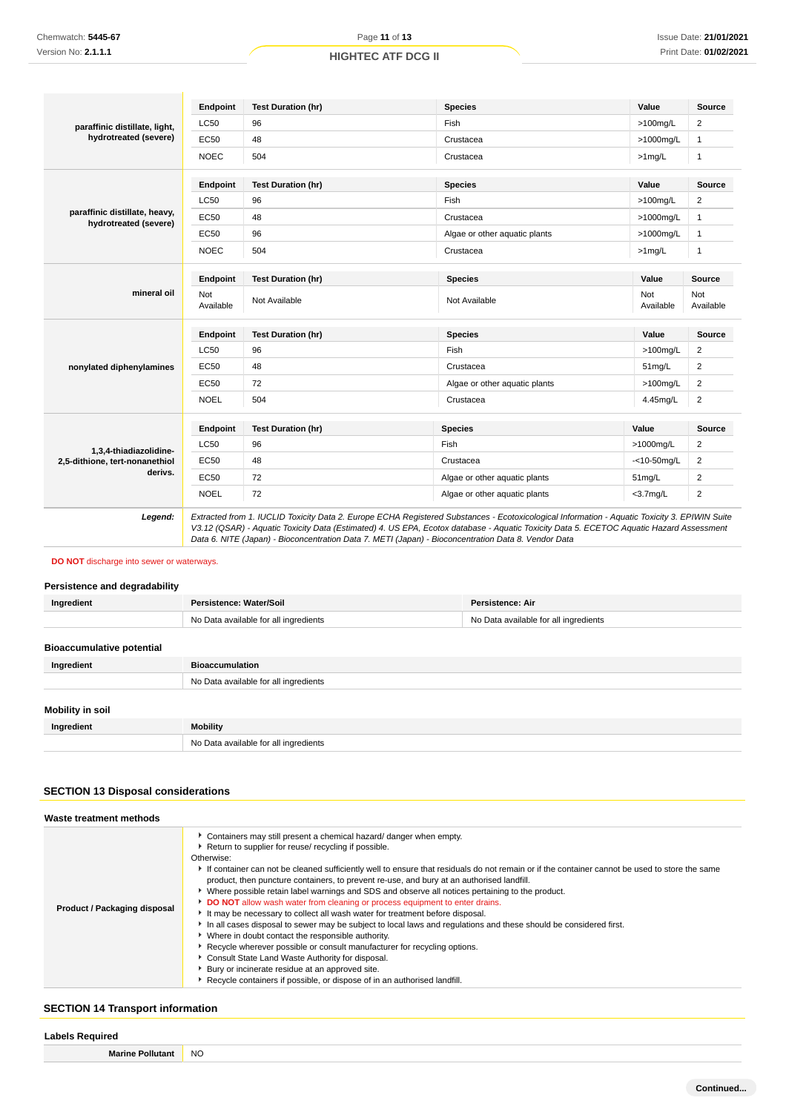|                                                        | Endpoint         | <b>Test Duration (hr)</b>                                                                                                                                                                                                                                                                                                                                                                       | <b>Species</b>                | Value            | Source                  |
|--------------------------------------------------------|------------------|-------------------------------------------------------------------------------------------------------------------------------------------------------------------------------------------------------------------------------------------------------------------------------------------------------------------------------------------------------------------------------------------------|-------------------------------|------------------|-------------------------|
| paraffinic distillate, light,                          | <b>LC50</b>      | 96                                                                                                                                                                                                                                                                                                                                                                                              | Fish                          | $>100$ mg/L      | 2                       |
| hydrotreated (severe)                                  | EC50             | 48                                                                                                                                                                                                                                                                                                                                                                                              | Crustacea                     | >1000mg/L        | $\mathbf{1}$            |
|                                                        | <b>NOEC</b>      | 504                                                                                                                                                                                                                                                                                                                                                                                             | Crustacea                     | $>1$ mg/L        | $\mathbf{1}$            |
|                                                        | Endpoint         | <b>Test Duration (hr)</b>                                                                                                                                                                                                                                                                                                                                                                       | <b>Species</b>                | Value            | <b>Source</b>           |
|                                                        | LC50             | 96                                                                                                                                                                                                                                                                                                                                                                                              | Fish                          | $>100$ mg/L      | 2                       |
| paraffinic distillate, heavy,<br>hydrotreated (severe) | <b>EC50</b>      | 48                                                                                                                                                                                                                                                                                                                                                                                              | Crustacea                     | >1000mg/L        | $\mathbf{1}$            |
|                                                        | <b>EC50</b>      | 96                                                                                                                                                                                                                                                                                                                                                                                              | Algae or other aquatic plants | >1000mg/L        | $\mathbf{1}$            |
|                                                        | <b>NOEC</b>      | 504                                                                                                                                                                                                                                                                                                                                                                                             | Crustacea                     | $>1$ mg/L        | $\mathbf{1}$            |
|                                                        | Endpoint         | <b>Test Duration (hr)</b>                                                                                                                                                                                                                                                                                                                                                                       | <b>Species</b>                | Value            | Source                  |
| mineral oil                                            | Not<br>Available | Not Available                                                                                                                                                                                                                                                                                                                                                                                   | Not Available                 | Not<br>Available | Not<br>Available        |
|                                                        | <b>Endpoint</b>  | <b>Test Duration (hr)</b>                                                                                                                                                                                                                                                                                                                                                                       | <b>Species</b>                | Value            | Source                  |
|                                                        | <b>LC50</b>      | 96                                                                                                                                                                                                                                                                                                                                                                                              | Fish                          | $>100$ mg/L      | $\overline{2}$          |
| nonylated diphenylamines                               | <b>EC50</b>      | 48                                                                                                                                                                                                                                                                                                                                                                                              | Crustacea                     | 51mg/L           | $\overline{2}$          |
|                                                        | <b>EC50</b>      | 72                                                                                                                                                                                                                                                                                                                                                                                              | Algae or other aquatic plants | $>100$ mg/L      | $\overline{2}$          |
|                                                        | <b>NOEL</b>      | 504                                                                                                                                                                                                                                                                                                                                                                                             | Crustacea                     | 4.45mg/L         | $\overline{\mathbf{c}}$ |
|                                                        | Endpoint         | <b>Test Duration (hr)</b>                                                                                                                                                                                                                                                                                                                                                                       | <b>Species</b>                | Value            | <b>Source</b>           |
| 1,3,4-thiadiazolidine-                                 | <b>LC50</b>      | 96                                                                                                                                                                                                                                                                                                                                                                                              | Fish                          | >1000mg/L        | $\overline{\mathbf{c}}$ |
| 2,5-dithione, tert-nonanethiol                         | EC50             | 48                                                                                                                                                                                                                                                                                                                                                                                              | Crustacea                     | $-<$ 10-50mg/L   | $\overline{c}$          |
| derivs.                                                | <b>EC50</b>      | 72                                                                                                                                                                                                                                                                                                                                                                                              | Algae or other aquatic plants | $51$ mg/L        | $\overline{2}$          |
|                                                        | <b>NOEL</b>      | 72                                                                                                                                                                                                                                                                                                                                                                                              | Algae or other aquatic plants | $<$ 3.7 $mq/L$   | $\overline{2}$          |
| Legend:                                                |                  | Extracted from 1. IUCLID Toxicity Data 2. Europe ECHA Registered Substances - Ecotoxicological Information - Aquatic Toxicity 3. EPIWIN Suite<br>V3.12 (QSAR) - Aquatic Toxicity Data (Estimated) 4. US EPA, Ecotox database - Aquatic Toxicity Data 5. ECETOC Aquatic Hazard Assessment<br>Data 6. NITE (Japan) - Bioconcentration Data 7. METI (Japan) - Bioconcentration Data 8. Vendor Data |                               |                  |                         |

# **DO NOT** discharge into sewer or waterways.

# **Persistence and degradability**

| Ingredient                       | Persistence: Water/Soil<br>Persistence: Air |                                       |  |
|----------------------------------|---------------------------------------------|---------------------------------------|--|
|                                  | No Data available for all ingredients       | No Data available for all ingredients |  |
|                                  |                                             |                                       |  |
| <b>Bioaccumulative potential</b> |                                             |                                       |  |
| Ingredient                       | <b>Bioaccumulation</b>                      |                                       |  |
|                                  | No Data available for all ingredients       |                                       |  |
|                                  |                                             |                                       |  |
| <b>Mobility in soil</b>          |                                             |                                       |  |
| Ingredient                       | <b>Mobility</b>                             |                                       |  |
|                                  | No Data available for all ingredients       |                                       |  |

# **SECTION 13 Disposal considerations**

| Waste treatment methods      |                                                                                                                                                                                                                                                                                                                                                                                                                                                                                                                                                                                                                                                                                                                                                                                                                                                                                                                                                                                                                                                                                                       |
|------------------------------|-------------------------------------------------------------------------------------------------------------------------------------------------------------------------------------------------------------------------------------------------------------------------------------------------------------------------------------------------------------------------------------------------------------------------------------------------------------------------------------------------------------------------------------------------------------------------------------------------------------------------------------------------------------------------------------------------------------------------------------------------------------------------------------------------------------------------------------------------------------------------------------------------------------------------------------------------------------------------------------------------------------------------------------------------------------------------------------------------------|
| Product / Packaging disposal | Containers may still present a chemical hazard/ danger when empty.<br>Return to supplier for reuse/ recycling if possible.<br>Otherwise:<br>If container can not be cleaned sufficiently well to ensure that residuals do not remain or if the container cannot be used to store the same<br>product, then puncture containers, to prevent re-use, and bury at an authorised landfill.<br>↓ Where possible retain label warnings and SDS and observe all notices pertaining to the product.<br>DO NOT allow wash water from cleaning or process equipment to enter drains.<br>It may be necessary to collect all wash water for treatment before disposal.<br>In all cases disposal to sewer may be subject to local laws and regulations and these should be considered first.<br>Where in doubt contact the responsible authority.<br>Recycle wherever possible or consult manufacturer for recycling options.<br>Consult State Land Waste Authority for disposal.<br>Bury or incinerate residue at an approved site.<br>▶ Recycle containers if possible, or dispose of in an authorised landfill. |

# **SECTION 14 Transport information**

# **Labels Required**

**Marine Pollutant** NO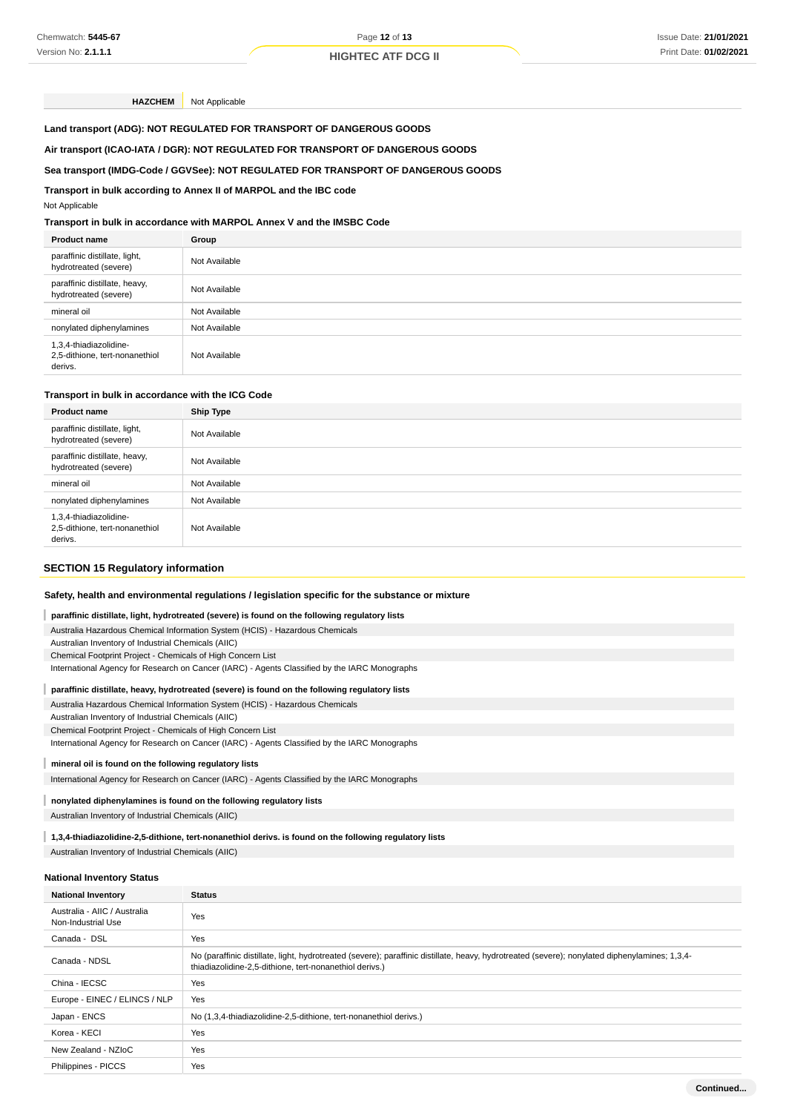**HAZCHEM** Not Applicable

**Land transport (ADG): NOT REGULATED FOR TRANSPORT OF DANGEROUS GOODS**

### **Air transport (ICAO-IATA / DGR): NOT REGULATED FOR TRANSPORT OF DANGEROUS GOODS**

#### **Sea transport (IMDG-Code / GGVSee): NOT REGULATED FOR TRANSPORT OF DANGEROUS GOODS**

#### **Transport in bulk according to Annex II of MARPOL and the IBC code**

Not Applicable

# **Transport in bulk in accordance with MARPOL Annex V and the IMSBC Code**

| <b>Product name</b>                                                 | Group         |
|---------------------------------------------------------------------|---------------|
| paraffinic distillate, light,<br>hydrotreated (severe)              | Not Available |
| paraffinic distillate, heavy,<br>hydrotreated (severe)              | Not Available |
| mineral oil                                                         | Not Available |
| nonylated diphenylamines                                            | Not Available |
| 1,3,4-thiadiazolidine-<br>2,5-dithione, tert-nonanethiol<br>derivs. | Not Available |

#### **Transport in bulk in accordance with the ICG Code**

| <b>Product name</b>                                                 | Ship Type     |
|---------------------------------------------------------------------|---------------|
| paraffinic distillate, light,<br>hydrotreated (severe)              | Not Available |
| paraffinic distillate, heavy,<br>hydrotreated (severe)              | Not Available |
| mineral oil                                                         | Not Available |
| nonylated diphenylamines                                            | Not Available |
| 1,3,4-thiadiazolidine-<br>2,5-dithione, tert-nonanethiol<br>derivs. | Not Available |

#### **SECTION 15 Regulatory information**

#### **Safety, health and environmental regulations / legislation specific for the substance or mixture**

#### I **paraffinic distillate, light, hydrotreated (severe) is found on the following regulatory lists**

Australia Hazardous Chemical Information System (HCIS) - Hazardous Chemicals Australian Inventory of Industrial Chemicals (AIIC) Chemical Footprint Project - Chemicals of High Concern List

International Agency for Research on Cancer (IARC) - Agents Classified by the IARC Monographs

#### **paraffinic distillate, heavy, hydrotreated (severe) is found on the following regulatory lists**

Australia Hazardous Chemical Information System (HCIS) - Hazardous Chemicals

Australian Inventory of Industrial Chemicals (AIIC)

Chemical Footprint Project - Chemicals of High Concern List

International Agency for Research on Cancer (IARC) - Agents Classified by the IARC Monographs

**mineral oil is found on the following regulatory lists**

International Agency for Research on Cancer (IARC) - Agents Classified by the IARC Monographs

#### **nonylated diphenylamines is found on the following regulatory lists**

Australian Inventory of Industrial Chemicals (AIIC)

**1,3,4-thiadiazolidine-2,5-dithione, tert-nonanethiol derivs. is found on the following regulatory lists**

Australian Inventory of Industrial Chemicals (AIIC)

#### **National Inventory Status**

| <b>National Inventory</b>                          | <b>Status</b>                                                                                                                                                                                             |  |
|----------------------------------------------------|-----------------------------------------------------------------------------------------------------------------------------------------------------------------------------------------------------------|--|
| Australia - AIIC / Australia<br>Non-Industrial Use | Yes                                                                                                                                                                                                       |  |
| Canada - DSL                                       | Yes                                                                                                                                                                                                       |  |
| Canada - NDSL                                      | No (paraffinic distillate, light, hydrotreated (severe); paraffinic distillate, heavy, hydrotreated (severe); nonylated diphenylamines; 1,3,4-<br>thiadiazolidine-2,5-dithione, tert-nonanethiol derivs.) |  |
| China - IECSC                                      | Yes                                                                                                                                                                                                       |  |
| Europe - EINEC / ELINCS / NLP                      | Yes                                                                                                                                                                                                       |  |
| Japan - ENCS                                       | No (1,3,4-thiadiazolidine-2,5-dithione, tert-nonanethiol derivs.)                                                                                                                                         |  |
| Korea - KECI                                       | Yes                                                                                                                                                                                                       |  |
| New Zealand - NZIoC                                | Yes                                                                                                                                                                                                       |  |
| Philippines - PICCS                                | Yes                                                                                                                                                                                                       |  |